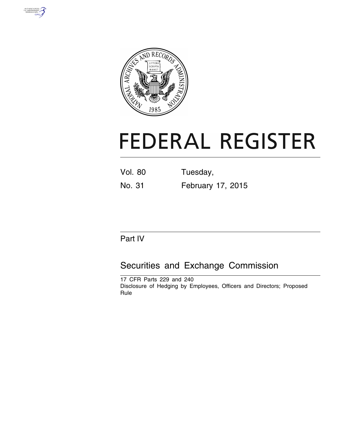



# **FEDERAL REGISTER**

Vol. 80 Tuesday,

No. 31 February 17, 2015

# Part IV

# Securities and Exchange Commission

17 CFR Parts 229 and 240 Disclosure of Hedging by Employees, Officers and Directors; Proposed Rule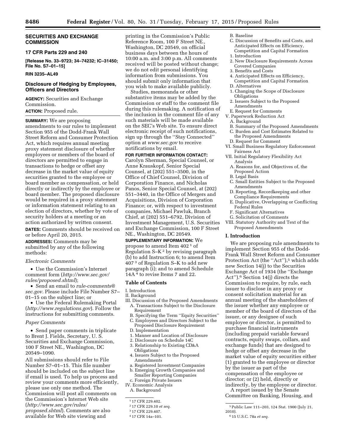# **SECURITIES AND EXCHANGE COMMISSION**

#### **17 CFR Parts 229 and 240**

**[Release No. 33–9723; 34–74232; IC–31450; File No. S7–01–15]** 

#### **RIN 3235–AL49**

# **Disclosure of Hedging by Employees, Officers and Directors**

**AGENCY:** Securities and Exchange Commission.

# **ACTION:** Proposed rule.

**SUMMARY:** We are proposing amendments to our rules to implement Section 955 of the Dodd-Frank Wall Street Reform and Consumer Protection Act, which requires annual meeting proxy statement disclosure of whether employees or members of the board of directors are permitted to engage in transactions to hedge or offset any decrease in the market value of equity securities granted to the employee or board member as compensation, or held directly or indirectly by the employee or board member. The proposed disclosure would be required in a proxy statement or information statement relating to an election of directors, whether by vote of security holders at a meeting or an action authorized by written consent. **DATES:** Comments should be received on or before April 20, 2015.

**ADDRESSES:** Comments may be submitted by any of the following methods:

*Electronic Comments* 

• Use the Commission's Internet comment form (*[http://www.sec.gov/](http://www.sec.gov/rules/proposed.shtml) [rules/proposed.shtml](http://www.sec.gov/rules/proposed.shtml)*);

• Send an email to *[rule-comments@](mailto:rule-comments@sec.gov) [sec.gov.](mailto:rule-comments@sec.gov)* Please include File Number S7– 01–15 on the subject line; or

• Use the Federal Rulemaking Portal (*<http://www.regulations.gov>*). Follow the instructions for submitting comments.

#### *Paper Comments*

• Send paper comments in triplicate to Brent J. Fields, Secretary, U. S. Securities and Exchange Commission, 100 F Street NE., Washington, DC 20549–1090.

All submissions should refer to File Number S7–01–15. This file number should be included on the subject line if email is used. To help us process and review your comments more efficiently, please use only one method. The Commission will post all comments on the Commission's Internet Web site (*[http://www.sec.gov/rules/](http://www.sec.gov/rules/proposed.shtml) [proposed.shtml](http://www.sec.gov/rules/proposed.shtml)*). Comments are also available for Web site viewing and

printing in the Commission's Public Reference Room, 100 F Street NE., Washington, DC 20549, on official business days between the hours of 10:00 a.m. and 3:00 p.m. All comments received will be posted without change; we do not edit personal identifying information from submissions. You should submit only information that you wish to make available publicly.

Studies, memoranda or other substantive items may be added by the Commission or staff to the comment file during this rulemaking. A notification of the inclusion in the comment file of any such materials will be made available on the SEC's Web site. To ensure direct electronic receipt of such notifications, sign up through the ''Stay Connected'' option at *[www.sec.gov](http://www.sec.gov)* to receive notifications by email.

# **FOR FURTHER INFORMATION CONTACT:**

Carolyn Sherman, Special Counsel, or Anne Krauskopf, Senior Special Counsel, at (202) 551–3500, in the Office of Chief Counsel, Division of Corporation Finance, and Nicholas Panos, Senior Special Counsel, at (202) 551–3440, in the Office of Mergers and Acquisitions, Division of Corporation Finance; or, with respect to investment companies, Michael Pawluk, Branch Chief, at (202) 551–6792, Division of Investment Management, U.S. Securities and Exchange Commission, 100 F Street NE., Washington, DC 20549.

**SUPPLEMENTARY INFORMATION:** We propose to amend Item 402 1 of Regulation  $S-K<sup>2</sup>$  by revising paragraph (b) to add Instruction 6; to amend Item 407 3 of Regulation S–K to add new paragraph (i); and to amend Schedule 14A 4 to revise Items 7 and 22.

# **Table of Contents**

#### I. Introduction

- II. Background
- III. Discussion of the Proposed Amendments A. Transactions Subject to the Disclosure Requirement
	- B. Specifying the Term ''Equity Securities'' C. Employees and Directors Subject to the
	- Proposed Disclosure Requirement D. Implementation
- 
- 1. Manner and Location of Disclosure
- 2. Disclosure on Schedule 14C
- 3. Relationship to Existing CD&A **Obligations**
- 4. Issuers Subject to the Proposed Amendments
- a. Registered Investment Companies
- b. Emerging Growth Companies and Smaller Reporting Companies
- c. Foreign Private Issuers
- IV. Economic Analysis A. Background

- 3 17 CFR 229.407.
- 4 17 CFR 14a–101.

# B. Baseline

- C. Discussion of Benefits and Costs, and Anticipated Effects on Efficiency, Competition and Capital Formation 1. Introduction
- 
- 2. New Disclosure Requirements Across Covered Companies
- 3. Benefits and Costs
- 4. Anticipated Effects on Efficiency, Competition and Capital Formation
- D. Alternatives
- 1. Changing the Scope of Disclosure **Obligations**
- 2. Issuers Subject to the Proposed Amendments
- E. Request for Comments
- V. Paperwork Reduction Act
- A. Background
- B. Summary of the Proposed Amendments
- C. Burden and Cost Estimates Related to the Proposed Amendments D. Request for Comment
- VI. Small Business Regulatory Enforcement
- Fairness Act VII. Initial Regulatory Flexibility Act
- Analysis A. Reasons for, and Objectives of, the Proposed Action
- B. Legal Basis
- C. Small Entities Subject to the Proposed Amendments
- D. Reporting, Recordkeeping and other Compliance Requirements
- E. Duplicative, Overlapping or Conflicting Federal Rules
- F. Significant Alternatives
- G. Solicitation of Comments
- VIII. Statutory Authority and Text of the Proposed Amendments

# **I. Introduction**

We are proposing rule amendments to implement Section 955 of the Dodd-Frank Wall Street Reform and Consumer Protection Act (the "Act"),<sup>5</sup> which adds new Section 14(j) to the Securities Exchange Act of 1934 (the ''Exchange Act'').6 Section 14(j) directs the Commission to require, by rule, each issuer to disclose in any proxy or consent solicitation material for an annual meeting of the shareholders of the issuer whether any employee or member of the board of directors of the issuer, or any designee of such employee or director, is permitted to purchase financial instruments (including prepaid variable forward contracts, equity swaps, collars, and exchange funds) that are designed to hedge or offset any decrease in the market value of equity securities either (1) granted to the employee or director by the issuer as part of the compensation of the employee or director; or (2) held, directly or indirectly, by the employee or director.

A report issued by the Senate Committee on Banking, Housing, and

<sup>1</sup> 17 CFR 229.402.

<sup>2</sup> 17 CFR 229.10 *et seq.* 

<sup>5</sup>Public Law 111–203, 124 Stat. 1900 (July 21, 2010).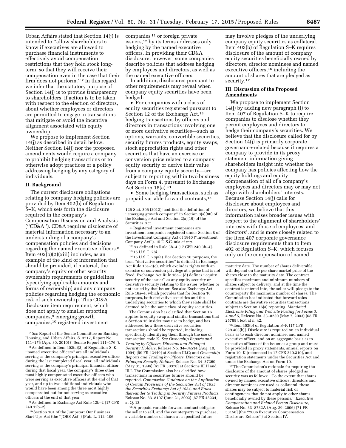Urban Affairs stated that Section 14(j) is intended to ''allow shareholders to know if executives are allowed to purchase financial instruments to effectively avoid compensation restrictions that they hold stock longterm, so that they will receive their compensation even in the case that their firm does not perform."<sup>7</sup> In this regard, we infer that the statutory purpose of Section 14(j) is to provide transparency to shareholders, if action is to be taken with respect to the election of directors, about whether employees or directors are permitted to engage in transactions that mitigate or avoid the incentive alignment associated with equity ownership.

We propose to implement Section 14(j) as described in detail below. Neither Section 14(j) nor the proposed amendments would require a company to prohibit hedging transactions or to otherwise adopt practices or a policy addressing hedging by any category of individuals.

#### **II. Background**

The current disclosure obligations relating to company hedging policies are provided by Item 402(b) of Regulation S–K, which sets forth the disclosure required in the company's Compensation Discussion and Analysis (''CD&A''). CD&A requires disclosure of material information necessary to an understanding of a company's compensation policies and decisions regarding the named executive officers.8 Item 402(b)(2)(xiii) includes, as an example of the kind of information that should be provided, if material, the company's equity or other security ownership requirements or guidelines (specifying applicable amounts and forms of ownership) and any company policies regarding hedging the economic risk of such ownership. This CD&A disclosure item requirement, which does not apply to smaller reporting companies,9 emerging growth companies,10 registered investment

9As defined in Exchange Act Rule 12b–2 [17 CFR 240.12b–2].

10Section 101 of the Jumpstart Our Business Start-Ups Act (the ''JOBS Act'') [Pub. L. 112–106, companies 11 or foreign private issuers,12 by its terms addresses only hedging by the named executive officers. In providing their CD&A disclosure, however, some companies describe policies that address hedging by employees and directors, as well as the named executive officers.

In addition, disclosures pursuant to other requirements may reveal when company equity securities have been hedged:

• For companies with a class of equity securities registered pursuant to Section 12 of the Exchange Act,<sup>13</sup> hedging transactions by officers and directors in transactions involving one or more derivative securities—such as options, warrants, convertible securities, security futures products, equity swaps, stock appreciation rights and other securities that have an exercise or conversion price related to a company equity security or derive their value from a company equity security—are subject to reporting within two business days on Form 4, pursuant to Exchange Act Section 16(a).14

• Some hedging transactions, such as prepaid variable forward contracts,15

11Registered investment companies are investment companies registered under Section 8 of the Investment Company Act of 1940 (''Investment Company Act''). 15 U.S.C. 80a *et seq.* 

12As defined in Rule 3b–4 [17 CFR 240.3b–4]. 13 15 U.S.C. 78*l.* 

14 15 U.S.C. 78p(a). For Section 16 purposes, the term ''derivative securities'' is defined in Exchange Act Rule 16a–1(c), which excludes rights with an exercise or conversion privilege at a price that is not fixed. Exchange Act Rule 16a–1(d) defines ''equity security of the issuer'' as any equity security or derivative security relating to the issuer, whether or not issued by that issuer. See also Exchange Act Rule 16a–4, which provides that for Section 16 purposes, both derivative securities and the underlying securities to which they relate shall be deemed to be the same class of equity securities.

The Commission has clarified that Section 16 applies to equity swap and similar transactions that a Section 16 insider may use to hedge, and has addressed how these derivative securities transactions should be reported, including specifically identifying them through the use of transaction code K. *See Ownership Reports and Trading by Officers, Directors and Principal Security Holders,* Release No. 34–34514 (Aug. 10, 1994) [59 FR 42449] at Section III.G; and *Ownership Reports and Trading by Officers, Directors and Principal Security Holders,* Release No. 34–37260 (May 31, 1996) [61 FR 30376] at Sections III.H and III.I. The Commission also has clarified how transactions in securities futures should be reported. *Commission Guidance on the Application of Certain Provisions of the Securities Act of 1933, the Securities Exchange Act of 1934, and Rules thereunder to Trading in Security Futures Products,*  Release No. 33–8107 (June 21, 2002) [67 FR 43234] at Q. 13.

15A prepaid variable forward contract obligates the seller to sell, and the counterparty to purchase, a variable number of shares at a specified future

may involve pledges of the underlying company equity securities as collateral. Item 403(b) of Regulation S–K requires disclosure of the amount of company equity securities beneficially owned by directors, director nominees and named executive officers,<sup>16</sup> including the amount of shares that are pledged as security.17

# **III. Discussion of the Proposed Amendments**

We propose to implement Section 14(j) by adding new paragraph (i) to Item 407 of Regulation S–K to require companies to disclose whether they permit employees and directors to hedge their company's securities. We believe that the disclosure called for by Section 14(j) is primarily corporate governance-related because it requires a company to provide in its proxy statement information giving shareholders insight into whether the company has policies affecting how the equity holdings and equity compensation of all of a company's employees and directors may or may not align with shareholders' interests. Because Section 14(j) calls for disclosure about employees and directors, we believe that this information raises broader issues with respect to the alignment of shareholders' interests with those of employees' and directors', and is more closely related to the Item 407 corporate governance disclosure requirements than to Item 402 of Regulation S–K, which focuses only on the compensation of named

16 Item 403(b) of Regulation S–K [17 CFR 229.403(b)]. Disclosure is required on an individual basis as to each director, nominee, and named executive officer, and on an aggregate basis as to executive officers of the issuer as a group and must be provided in proxy statements, annual reports on Form 10–K [referenced in 17 CFR 240.310], and registration statements under the Securities Act and under the Exchange Act on Form 10.

 $^{\rm 17}$  The Commission's rationale for requiring the disclosure of the amount of shares pledged as security was as follows: ''To the extent that shares owned by named executive officers, directors and director nominees are used as collateral, these shares may be subject to material risk or contingencies that do not apply to other shares beneficially owned by these persons.'' *Executive Compensation and Related Person Disclosure,*  Release No. 33–8732A (Aug. 29, 2006) [71 FR 53158] (the ''2006 Executive Compensation Disclosure Release'') at Section IV.

<sup>7</sup>*See* Report of the Senate Committee on Banking, Housing, and Urban Affairs, S. 3217, Report No. 111–176 (Apr. 30, 2010) (''Senate Report 111–176'').

<sup>8</sup>As defined in Item 402(a)(3) of Regulation S–K, ''named executive officers'' are all individuals serving as the company's principal executive officer during the last completed fiscal year, all individuals serving as the company's principal financial officer during that fiscal year, the company's three other most highly compensated executive officers who were serving as executive officers at the end of that year, and up to two additional individuals who would have been among the three most highly compensated but for not serving as executive officers at the end of that year.

<sup>126</sup> Stat. 306 (2012)] codified the definition of ''emerging growth company'' in Section 3(a)(80) of the Exchange Act and Section 2(a)(19) of the Securities Act.

maturity date. The number of shares deliverable will depend on the per share market price of the shares close to the maturity date. The contract specifies maximum and minimum numbers of shares subject to delivery, and at the time the contract is entered into, the seller will pledge to the counterparty the maximum number of shares. The Commission has indicated that forward sales contracts are derivative securities transactions subject to Section 16(a) reporting. *Mandated Electronic Filing and Web site Posting for Forms 3, 4 and 5,* Release No. 33–8230 (May 7, 2003) [68 FR 25788], text at n. 42.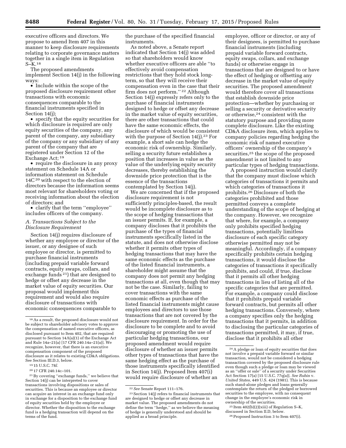executive officers and directors. We propose to amend Item 407 in this manner to keep disclosure requirements relating to corporate governance matters together in a single item in Regulation S–K.18

The proposed amendments implement Section 14(j) in the following ways:

• Include within the scope of the proposed disclosure requirement other transactions with economic consequences comparable to the financial instruments specified in Section 14(j);

• specify that the equity securities for which disclosure is required are only equity securities of the company, any parent of the company, any subsidiary of the company or any subsidiary of any parent of the company that are registered under Section 12 of the Exchange Act; 19

• require the disclosure in any proxy statement on Schedule 14A or information statement on Schedule  $14C^{20}$  with respect to the election of directors because the information seems most relevant for shareholders voting or receiving information about the election of directors; and

• clarify that the term ''employee'' includes officers of the company.

#### *A. Transactions Subject to the Disclosure Requirement*

Section 14(j) requires disclosure of whether any employee or director of the issuer, or any designee of such employee or director, is permitted to purchase financial instruments (including prepaid variable forward contracts, equity swaps, collars, and exchange funds 21) that are designed to hedge or offset any decrease in the market value of equity securities. Our proposal would implement this requirement and would also require disclosure of transactions with economic consequences comparable to

the purchase of the specified financial instruments.

As noted above, a Senate report indicated that Section 14(j) was added so that shareholders would know whether executive officers are able ''to effectively avoid compensation restrictions that they hold stock longterm, so that they will receive their compensation even in the case that their firm does not perform.'' 22 Although Section 14(j) expressly refers only to the purchase of financial instruments designed to hedge or offset any decrease in the market value of equity securities, there are other transactions that could have the same economic effects, the disclosure of which would be consistent with the purpose of Section 14(j).<sup>23</sup> For example, a short sale can hedge the economic risk of ownership. Similarly, selling a security future establishes a position that increases in value as the value of the underlying equity security decreases, thereby establishing the downside price protection that is the essence of the transactions contemplated by Section 14(j).

We are concerned that if the proposed disclosure requirement is not sufficiently principles-based, the result would be incomplete disclosure as to the scope of hedging transactions that an issuer permits. If, for example, a company discloses that it prohibits the purchase of the types of financial instruments specifically listed in the statute, and does not otherwise disclose whether it permits other types of hedging transactions that may have the same economic effects as the purchase of the listed financial instruments, a shareholder might assume that the company does not permit any hedging transactions at all, even though that may not be the case. Similarly, failing to cover transactions with the same economic effects as purchase of the listed financial instruments might cause employees and directors to use those transactions that are not covered by the disclosure requirement. In order for the disclosure to be complete and to avoid discouraging or promoting the use of particular hedging transactions, our proposed amendment would require disclosure of whether an issuer permits other types of transactions that have the same hedging effect as the purchase of those instruments specifically identified in Section 14(j). Proposed Item 407(i) would require disclosure of whether an

employee, officer or director, or any of their designees, is permitted to purchase financial instruments (including prepaid variable forward contracts, equity swaps, collars, and exchange funds) or otherwise engage in transactions that are designed to or have the effect of hedging or offsetting any decrease in the market value of equity securities. The proposed amendment would therefore cover all transactions that establish downside price protection—whether by purchasing or selling a security or derivative security or otherwise,24 consistent with the statutory purpose and providing more complete disclosure. Like the existing CD&A disclosure item, which applies to company policies regarding hedging the economic risk of named executive officers' ownership of the company's securities,25 the scope of the proposed amendment is not limited to any particular types of hedging transactions.

A proposed instruction would clarify that the company must disclose which categories of transactions it permits and which categories of transactions it prohibits.26 Disclosure of both the categories prohibited and those permitted conveys a complete understanding of the scope of hedging at the company. However, we recognize that where, for example, a company only prohibits specified hedging transactions, potentially limitless disclosure of each specific category otherwise permitted may not be meaningful. Accordingly, if a company specifically prohibits certain hedging transactions, it would disclose the categories of transactions it specifically prohibits, and could, if true, disclose that it permits all other hedging transactions in lieu of listing all of the specific categories that are permitted. For example, a company could disclose that it prohibits prepaid variable forward contracts, but permits all other hedging transactions. Conversely, where a company specifies only the hedging transactions that it permits, in addition to disclosing the particular categories of transactions permitted, it may, if true, disclose that it prohibits all other

<sup>18</sup>As a result, the proposed disclosure would not be subject to shareholder advisory votes to approve the compensation of named executive officers, as disclosed pursuant to Item 402, that are required pursuant to Section 14A(a)(1) of the Exchange Act and Rule 14a–21(a) [17 CFR 240.14a–21(a)]. We recognize, however, that there is an executive compensation component of the proposed disclosure as it relates to existing CD&A obligations. See Section III.D.3, below.

<sup>19</sup> 15 U.S.C. 78*l.* 

<sup>20</sup> 17 CFR 240.14c–101.

<sup>21</sup>By covering ''exchange funds,'' we believe that Section 14(j) can be interpreted to cover transactions involving dispositions or sales of securities. This is because an employee or director can acquire an interest in an exchange fund only in exchange for a disposition to the exchange fund of equity securities held by the employee or director. Whether the disposition to the exchange fund is a hedging transaction will depend on the terms of the fund.

<sup>22</sup>*See* Senate Report 111–176.

<sup>23</sup>Section 14(j) refers to financial instruments that are designed to hedge or offset any decrease in market value. The proposed amendments do not define the term ''hedge,'' as we believe the meaning of hedge is generally understood and should be applied as a broad principle.

<sup>24</sup>A pledge or loan of equity securities that does not involve a prepaid variable forward or similar transaction, would not be considered a hedging transaction covered by the proposed disclosure rule even though such a pledge or loan may be viewed as an ''offer or sale'' of a security under Securities Act Section 17(a) [15 U.S.C. 77q(a)]. *See Rubin* v. *United States,* 449 U.S. 424 (1981). This is because such stand-alone pledges and loans generally contemplate the return of the pledged or borrowed securities to the employee, with no consequent change in the employee's economic risk in ownership of the securities.

 $^{25}$  Item 402(b)(2)(xiii) of Regulation S–K, discussed in Section II.D, below.

<sup>&</sup>lt;sup>26</sup> Proposed Instruction 3 to Item 407(i).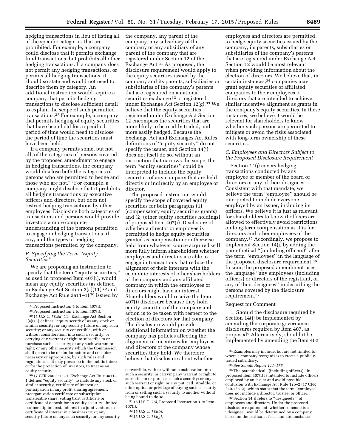hedging transactions in lieu of listing all of the specific categories that are prohibited. For example, a company could disclose that it permits exchange fund transactions, but prohibits all other hedging transactions. If a company does not permit any hedging transactions, or permits all hedging transactions, it should so state and would not need to describe them by category. An additional instruction would require a company that permits hedging transactions to disclose sufficient detail to explain the scope of such permitted transactions.27 For example, a company that permits hedging of equity securities that have been held for a specified period of time would need to disclose the period of time the securities must have been held.

If a company permits some, but not all, of the categories of persons covered by the proposed amendment to engage in hedging transactions, the company would disclose both the categories of persons who are permitted to hedge and those who are not.28 For example, a company might disclose that it prohibits all hedging transactions by executive officers and directors, but does not restrict hedging transactions by other employees. Disclosing both categories of transactions and persons would provide investors a more complete understanding of the persons permitted to engage in hedging transactions, if any, and the types of hedging transactions permitted by the company.

# *B. Specifying the Term ''Equity Securities''*

We are proposing an instruction to specify that the term ''equity securities,'' as used in proposed Item 407(i), would mean any equity securities (as defined in Exchange Act Section 3(a)(11) 29 and Exchange Act Rule 3a11–1) 30 issued by

30 17 CFR 240.3a11–1. Exchange Act Rule 3a11– 1 defines ''equity security'' to include any stock or similar security, certificate of interest or participation in any profit sharing agreement, preorganization certificate or subscription, transferable share, voting trust certificate or certificate of deposit for an equity security, limited partnership interest, interest in a joint venture, or certificate of interest in a business trust; any security future on any such security; or any security the company, any parent of the company, any subsidiary of the company or any subsidiary of any parent of the company that are registered under Section 12 of the Exchange Act.31 As proposed, the disclosure requirement would apply to the equity securities issued by the company and its parents, subsidiaries or subsidiaries of the company's parents that are registered on a national securities exchange 32 or registered under Exchange Act Section 12(g).33 We believe that the equity securities registered under Exchange Act Section 12 encompass the securities that are more likely to be readily traded, and more easily hedged. Because the Exchange Act and Exchanges Act Rules definitions of ''equity security'' do not specify the issuer, and Section 14(j) does not itself do so, without an instruction that narrows the scope, the term ''equity securities'' could be interpreted to include the equity securities of any company that are held directly or indirectly by an employee or director.

The proposed instruction would specify the scope of covered equity securities for both paragraphs (1) (compensatory equity securities grants) and (2) (other equity securities holdings) of proposed Item 407(i). Disclosure of whether a director or employee is permitted to hedge equity securities granted as compensation or otherwise held from whatever source acquired will more fully inform shareholders whether employees and directors are able to engage in transactions that reduce the alignment of their interests with the economic interests of other shareholders of the company and any affiliated company in which the employees or directors might have an interest. Shareholders would receive the Item 407(i) disclosure because they hold equity securities of the company and action is to be taken with respect to the election of directors for that company. The disclosure would provide additional information on whether the company has policies affecting the alignment of incentives for employees and directors of the company whose securities they hold. We therefore believe that disclosure about whether

employees and directors are permitted to hedge equity securities issued by the company, its parents, subsidiaries or subsidiaries of the company's parents that are registered under Exchange Act Section 12 would be most relevant when providing information about the election of directors. We believe that, in certain instances,34 companies may grant equity securities of affiliated companies to their employees or directors that are intended to achieve similar incentive alignment as grants in the company's equity securities. In these instances, we believe it would be relevant for shareholders to know whether such persons are permitted to mitigate or avoid the risks associated with long-term ownership of these securities.

#### *C. Employees and Directors Subject to the Proposed Disclosure Requirement*

Section 14(j) covers hedging transactions conducted by any employee or member of the board of directors or any of their designees. Consistent with that mandate, we believe the term ''employee'' should be interpreted to include everyone employed by an issuer, including its officers. We believe it is just as relevant for shareholders to know if officers are allowed to effectively avoid restrictions on long-term compensation as it is for directors and other employees of the company.35 Accordingly, we propose to implement Section 14(j) by adding the parenthetical ''(including officers)'' after the term ''employees'' in the language of the proposed disclosure requirement.36 In sum, the proposed amendment uses the language ''any employees (including officers) or directors of the registrant, or any of their designees'' in describing the persons covered by the disclosure requirement.37

#### Request for Comment

1. Should the disclosure required by Section 14(j) be implemented by amending the corporate governance disclosures required by Item 407, as proposed? Alternatively, should it be implemented by amending the Item 402

<sup>27</sup>Proposed Instruction 4 to Item 407(i).

<sup>28</sup>Proposed Instruction 2 to Item 407(i).

<sup>29</sup> 15 U.S.C. 78c(a)(11). Exchange Act Section 3(a)(11) defines ''equity security'' as any stock or similar security; or any security future on any such security; or any security convertible, with or without consideration, into such a security, or carrying any warrant or right to subscribe to or purchase such a security; or any such warrant or right; or any other security which the Commission shall deem to be of similar nature and consider necessary or appropriate, by such rules and regulations as it may prescribe in the public interest or for the protection of investors, to treat as an equity security.

convertible, with or without consideration into such a security, or carrying any warrant or right to subscribe to or purchase such a security; or any such warrant or right; or any put, call, straddle, or other option or privilege of buying such a security from or selling such a security to another without being bound to do so.

<sup>31</sup> 15 U.S.C. 78*l;* Proposed Instruction 1 to Item 407(i).

<sup>32</sup> 15 U.S.C. 78*l(b).* 

<sup>33</sup> 15 U.S.C. 78*l(g).* 

<sup>34</sup>Examples may include, but are not limited to, where a company reorganizes to create a publiclytraded subsidiary.

<sup>35</sup>*See Senate Report 111–176.* 

<sup>36</sup>The parenthetical ''(including officers)'' in proposed Item 407(i) is intended to include officers employed by an issuer and avoid possible confusion with Exchange Act Rule 12b–2 [17 CFR 240.12b–2], which states that the term ''employee'' does not include a director, trustee, or officer.

<sup>37</sup>Section 14(j) refers to ''designee[s]'' of employees and directors. Under the proposed disclosure requirement, whether someone is a 'designee'' would be determined by a company based on the particular facts and circumstances.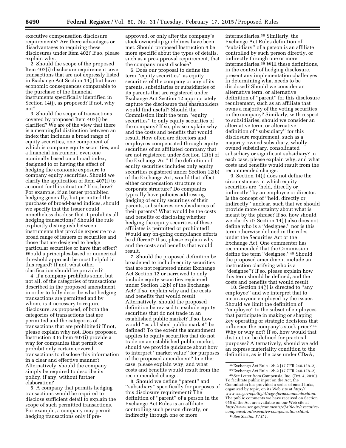executive compensation disclosure requirements? Are there advantages or disadvantages to requiring these disclosures under Item 402? If so, please explain why.

2. Should the scope of the proposed Item 407(i) disclosure requirement cover transactions that are not expressly listed in Exchange Act Section 14(j) but have economic consequences comparable to the purchase of the financial instruments specifically identified in Section 14(j), as proposed? If not, why not?

3. Should the scope of transactions covered by proposed Item 407(i) be clarified? We are of the view that there is a meaningful distinction between an index that includes a broad range of equity securities, one component of which is company equity securities, and a financial instrument, even one nominally based on a broad index, designed to or having the effect of hedging the economic exposure to company equity securities. Should we clarify the application of Item 407(i) to account for this situation? If so, how? For example, if an issuer prohibited hedging generally, but permitted the purchase of broad-based indices, should we specify that the issuer could nonetheless disclose that it prohibits all hedging transactions? Should the rule explicitly distinguish between instruments that provide exposure to a broad range of issuers or securities and those that are designed to hedge particular securities or have that effect? Would a principles-based or numerical threshold approach be most helpful in this regard? If not, what other clarification should be provided?

4. If a company prohibits some, but not all, of the categories of transactions described in the proposed amendment, in order to fully describe what hedging transactions are permitted and by whom, is it necessary to require disclosure, as proposed, of both the categories of transactions that are permitted and the categories of transactions that are prohibited? If not, please explain why not. Does proposed Instruction 3 to Item 407(i) provide a way for companies that permit or prohibit only certain covered transactions to disclose this information in a clear and effective manner? Alternatively, should the company simply be required to describe its policy, if any, without further elaboration?

5. A company that permits hedging transactions would be required to disclose sufficient detail to explain the scope of such permitted transactions. For example, a company may permit hedging transactions only if pre-

approved, or only after the company's stock ownership guidelines have been met. Should proposed Instruction 4 be more specific about the types of details, such as a pre-approval requirement, that the company must disclose?

6. Does our proposal to define the term ''equity securities'' as equity securities of the company or any of its parents, subsidiaries or subsidiaries of its parents that are registered under Exchange Act Section 12 appropriately capture the disclosure that shareholders would find useful? Should the Commission limit the term ''equity securities'' to only equity securities of the company? If so, please explain why and the costs and benefits that would result. How often are directors and employees compensated through equity securities of an affiliated company that are not registered under Section 12(b) of the Exchange Act? If the definition of equity securities includes only equity securities registered under Section 12(b) of the Exchange Act, would that affect either compensation structure or corporate structure? Do companies typically have policies addressing hedging of equity securities of their parents, subsidiaries or subsidiaries of their parents? What would be the costs and benefits of disclosing whether hedging the equity securities of these affiliates is permitted or prohibited? Would any on-going compliance efforts be different? If so, please explain why and the costs and benefits that would result.

7. Should the proposed definition be broadened to include equity securities that are not registered under Exchange Act Section 12 or narrowed to only include equity securities registered under Section 12(b) of the Exchange Act? If so, explain why and the costs and benefits that would result. Alternatively, should the proposed definition be revised to exclude equity securities that do not trade in an established public market? If so, how would ''established public market'' be defined? To the extent the amendment applies to equity securities that do not trade on an established public market, should we provide guidance about how to interpret ''market value'' for purposes of the proposed amendment? In either case, please explain why, and what costs and benefits would result from the recommended change.

8. Should we define ''parent'' and ''subsidiary'' specifically for purposes of this disclosure requirement? The definition of ''parent'' of a person in the Exchange Act Rules is an affiliate controlling such person directly, or indirectly through one or more

intermediaries.38 Similarly, the Exchange Act Rules definition of ''subsidiary'' of a person is an affiliate controlled by such person directly, or indirectly through one or more intermediaries.39 Will these definitions, in the context of hedging disclosure, present any implementation challenges in determining what needs to be disclosed? Should we consider an alternative term, or alternative definition of ''parent'' for this disclosure requirement, such as an affiliate that owns a majority of the voting securities in the company? Similarly, with respect to subsidiaries, should we consider an alternative term, or alternative definition of ''subsidiary'' for this disclosure requirement, such as a majority-owned subsidiary, whollyowned subsidiary, consolidated subsidiary or significant subsidiary? In each case, please explain why, and what costs and benefits would result from the recommended change.

9. Section 14(j) does not define the circumstances in which equity securities are ''held, directly or indirectly'' by an employee or director. Is the concept of ''held, directly or indirectly'' unclear, such that we should provide more certainty about what is meant by the phrase? If so, how should we clarify it? Section 14(j) also does not define who is a ''designee,'' nor is this term otherwise defined in the rules under the Securities Act or the Exchange Act. One commenter has recommended that the Commission define the term ''designee.''40 Should the proposed amendment include an instruction clarifying who is a "designee"? If so, please explain how this term should be defined, and the costs and benefits that would result.

10. Section 14(j) is directed to ''any employee'' and we interpret that to mean anyone employed by the issuer. Should we limit the definition of ''employee'' to the subset of employees that participate in making or shaping key operating or strategic decisions that influence the company's stock price? 41 Why or why not? If so, how would that distinction be defined for practical purposes? Alternatively, should we add an express materiality condition to the definition, as is the case under CD&A,

<sup>&</sup>lt;sup>38</sup> Exchange Act Rule 12b-2 [17 CFR 240.12b–2].<br><sup>39</sup> Exchange Act Rule 12b-2 [17 CFR 240.12b–2].<br><sup>40</sup> See Letter from Compensia, Inc. (Oct. 4, 2010).

To facilitate public input on the Act, the Commission has provided a series of email links, organized by topic, on its Web site at *[http://](http://www.sec.gov/spotlight/regreformcomments.shtml) [www.sec.gov/spotlight/regreformcomments.shtml.](http://www.sec.gov/spotlight/regreformcomments.shtml)*  The public comments we have received on Section 955 of the Act are available on our Web site at *[http://www.sec.gov/comments/df-title-ix/executive](http://www.sec.gov/comments/df-title-ix/executive-compensation/executive-compensation.shtml)[compensation/executive-compensation.shtml.](http://www.sec.gov/comments/df-title-ix/executive-compensation/executive-compensation.shtml)*  41*See Section IV.C.1.*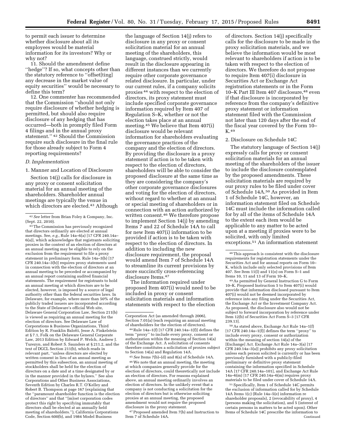to permit each issuer to determine whether disclosure about all its employees would be material information for its investors? Why or why not?

11. Should the amendment define "hedge"? If so, what concepts other than the statutory reference to ''offset[ting] any decrease in the market value of equity securities'' would be necessary to define this term?

12. One commenter has recommended that the Commission ''should not only require disclosure of whether hedging is permitted, but should also require disclosure of any hedging that has occurred—both in promptly filed Form 4 filings and in the annual proxy statement.'' 42 Should the Commission require such disclosure in the final rule for those already subject to Form 4 reporting requirements?

#### *D. Implementation*

1. Manner and Location of Disclosure

Section 14(j) calls for disclosure in any proxy or consent solicitation material for an annual meeting of the shareholders. Shareholder annual meetings are typically the venue in which directors are elected.<sup>43</sup> Although

43The Commission has previously recognized that directors ordinarily are elected at annual meetings. See, *e.g.,* Rule 14a–6(a) [17 CFR 240.14a– 6(a)], which acknowledges that registrants soliciting proxies in the context of an election of directors at an annual meeting may be eligible to rely on the exclusion from the requirement to file a proxy statement in preliminary form. Rule 14a–3(b) [17 CFR 240.14a–3(b)] requires proxy statements used in connection with the election of directors at an annual meeting to be preceded or accompanied by an annual report containing audited financial statements. The requirement for registrants to hold an annual meeting at which directors are to be elected, however, is imposed by a source of legal authority other than the federal securities laws. In Delaware, for example, where more than 50% of the publicly traded issuers are incorporated according to the State of Delaware's official Web site, Delaware General Corporation Law, Section 211(b) is viewed as requiring an annual meeting for the election of directors. See Delaware Law of Corporations & Business Organizations, Third Edition by R. Franklin Balotti, Jesse A. Finkelstein at § 7.1, Folk on the Delaware General Corporate Law, 2013 Edition by Edward P. Welch, Andrew J. Turezyn, and Robert S. Saunders at § 211.2, and the text of DGCL Section 211(b), which reads in relevant part, ''unless directors are elected by written consent in lieu of an annual meeting as permitted by this subsection, an annual meeting of stockholders shall be held for the election of directors on a date and at a time designated by or in the manner provided in the bylaws.'' See also Corporations and Other Business Associations, Seventh Edition by Charles R.T. O'Kelley and Robert B. Thompson at page 167 (explaining that the ''paramount shareholder function is the election of directors'' and that ''[m]ost corporation codes protect this right by specifying immutably that directors shall be elected at an annually held meeting of shareholders.''), California Corporations Code, Section 600(b), and 1984 Model Business

the language of Section 14(j) refers to disclosure in any proxy or consent solicitation material for an annual meeting of the shareholders, this language, construed strictly, would result in the disclosure appearing in different instances than we currently require other corporate governance related disclosure. In particular, under our current rules, if a company solicits proxies 44 with respect to the election of directors, its proxy statement must include specified corporate governance information required by Item 407 of Regulation S–K, whether or not the election takes place at an annual meeting.45 We believe that Item 407(i) disclosure would be relevant information for shareholders evaluating the governance practices of the company and the election of directors. By providing the disclosure in a proxy statement if action is to be taken with respect to the election of directors, shareholders will be able to consider the proposed disclosure at the same time as they are considering the company's other corporate governance disclosures and voting for the election of directors, without regard to whether at an annual or special meeting of shareholders or in connection with an action authorized by written consent.46 We therefore propose to implement Section 14(j) by amending Items 7 and 22 of Schedule 14A to call for new Item 407(i) information to be provided if action is to be taken with respect to the election of directors. In addition to including the new disclosure requirement, the proposal would amend Item 7 of Schedule 14A to streamline its current provisions by more succinctly cross-referencing disclosure Items.47

The information required under proposed Item 407(i) would need to be included in proxy or consent solicitation materials and information statements with respect to the election

44Rule 14a–1(f) [17 CFR 240.14a–1(f)] defines the term ''proxy'' to include every proxy, consent or authorization within the meaning of Section 14(a) of the Exchange Act. A solicitation of consents therefore constitutes a solicitation of proxies subject to Section 14(a) and Regulation 14A.

45*See* Items 7(b)–(d) and 8(a) of Schedule 14A.

46We note that an annual meeting, the meeting at which companies generally provide for the election of directors, could theoretically not include an election of directors. For reasons explained above, an annual meeting ordinarily involves an election of directors. In the unlikely event that a company is not conducting a solicitation for the election of directors but is otherwise soliciting proxies at an annual meeting, the proposed amendment would not require the proposed disclosure in the proxy statement.

47Proposed amended Item 7(b) and Instruction to Item 7 of Schedule 14A.

of directors. Section 14(j) specifically calls for the disclosure to be made in the proxy solicitation materials, and we believe the information would be most relevant to shareholders if action is to be taken with respect to the election of directors. We therefore do not propose to require Item 407(i) disclosure in Securities Act or Exchange Act registration statements or in the Form 10–K Part III Item 407 disclosure, <sup>48</sup> even if that disclosure is incorporated by reference from the company's definitive proxy statement or information statement filed with the Commission not later than 120 days after the end of the fiscal year covered by the Form 10– K.49

#### 2. Disclosure on Schedule 14C

The statutory language of Section 14(j) expressly calls for proxy or consent solicitation materials for an annual meeting of the shareholders of the issuer to include the disclosure contemplated by the proposed amendments. These solicitation materials are required by our proxy rules to be filed under cover of Schedule 14A.50 As provided in Item 1 of Schedule 14C, however, an information statement filed on Schedule 14C must include the information called for by all of the items of Schedule 14A to the extent each item would be applicable to any matter to be acted upon at a meeting if proxies were to be solicited, with only limited exceptions.51 An information statement

49As permitted by General Instruction G to Form 10–K. Proposed Instruction 5 to Item 407(i) would provide that information disclosed pursuant to Item 407(i) would not be deemed incorporated by reference into any filing under the Securities Act, the Exchange Act or the Investment Company Act. As proposed, the disclosure also would not be subject to forward incorporation by reference under Item 12(b) of Securities Act Form S–3 [17 CFR 239.13].

50As stated above, Exchange Act Rule 14a–1(f)  $[17$  CFR 240.14a-1 $(f)$ ] defines the term "proxy" include every proxy, consent or authorization within the meaning of section 14(a) of the [Exchange] Act. Exchange Act Rule 14a–3(a) [17 CFR 240.14a–3(a)] prohibits any proxy solicitation unless each person solicited is currently or has been previously furnished with a publicly-filed preliminary or definitive proxy statement containing the information specified in Schedule 14A [17 CFR 240.14a–101], and Exchange Act Rule 14a–6(m) [17 CFR 240.14a–6(m) requires proxy materials to be filed under cover of Schedule 14A.

51Specifically, Item 1 of Schedule 14C permits the exclusion of information called for by Schedule 14A Items 1(c) (Rule 14a–5(e) information re shareholder proposals), 2 (revocability of proxy), 4 (persons making the solicitation), and 5 (interest of certain persons in matters to be acted upon). Other Items of Schedule 14C prescribe the information to Continued

<sup>42</sup>*See* letter from Brian Foley & Company, Inc. (Sept. 22, 2010).

Corporation Act (as amended through 2006), Section 7.01(a) (each requiring an annual meeting of shareholders for the election of directors).

<sup>48</sup>This approach is consistent with the disclosure requirements for registration statements under the Securities Act and for annual reports on Form 10– K, which include only selected provisions of Item 407. See Item 11(l) and 11(o) on Form S–1 and Items 10, 11 and 13 of Form 10–K.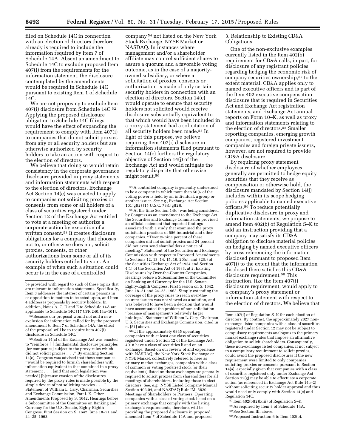filed on Schedule 14C in connection with an election of directors therefore already is required to include the information required by Item 7 of Schedule 14A. Absent an amendment to Schedule 14C to exclude proposed Item 407(i) from the requirements for the information statement, the disclosure contemplated by the amendments would be required in Schedule 14C pursuant to existing Item 1 of Schedule 14C.

We are not proposing to exclude Item 407(i) disclosure from Schedule 14C.52 Applying the proposed disclosure obligation to Schedule 14C filings would have the effect of expanding the requirement to comply with Item 407(i) to companies that do not solicit proxies from any or all security holders but are otherwise authorized by security holders to take an action with respect to the election of directors.

We believe that doing so would retain consistency in the corporate governance disclosure provided in proxy statements and information statements with respect to the election of directors. Exchange Act Section 14(c) was enacted to apply to companies not soliciting proxies or consents from some or all holders of a class of securities registered under Section 12 of the Exchange Act entitled to vote at a meeting or authorize a corporate action by execution of a written consent.53 It creates disclosure obligations for a company that chooses not to, or otherwise does not, solicit proxies, consents, or other authorizations from some or all of its security holders entitled to vote. An example of when such a situation could occur is in the case of a controlled

52Because our proposal would not add a new exclusion for information called for by the proposed amendment to Item 7 of Schedule 14A, the effect of the proposal will be to require Item 407(i) disclosure in Schedule 14C.

 $^{53}\rm\, Section$   $14(c)$  of the Exchange Act was enacted to ''reinforce [ ] fundamental disclosure principles [for companies] subject to the proxy rules which did not solicit proxies . . .'' By enacting Section 14(c), Congress was advised that these companies ''would be required to furnish shareholders with information equivalent to that contained in a proxy statement . . . . [and that such legislation was needed] [b]ecause evasion of the disclosures required by the proxy rules is made possible by the simple device of not soliciting proxies . . Statement of William L. Cary, Chairman, Securities and Exchange Commission, Part I. K. Other Amendments Proposed by S. 1642, Hearings before a Subcommittee of the Committee on Banking and Currency for the U.S. Senate, Eighty-Eighth Congress, First Session on S. 1642, June 18–21 and 24–25, 1963.

company 54 not listed on the New York Stock Exchange, NYSE Market or NASDAQ. In instances where management and/or a shareholder affiliate may control sufficient shares to assure a quorum and a favorable voting outcome, as in the case of a majorityowned subsidiary, or where a solicitation of proxies, consents or authorization is made of only certain security holders in connection with an election of directors, Section 14(c) would operate to ensure that security holders not solicited would receive disclosure substantially equivalent to that which would have been included in a proxy statement had a solicitation of all security holders been made.55 In light of this purpose, we believe requiring Item 407(i) disclosure in information statements filed pursuant to Section 14(c) furthers the regulatory objective of Section 14(j) of the Exchange Act and would mitigate the regulatory disparity that otherwise might result.56

55At the time Section 14(c) was being considered by Congress as an amendment to the Exchange Act, the Securities and Exchange Commission provided an official statement that reported findings associated with a study that examined the proxy solicitation practices of 556 industrial and other companies. ''Twenty-nine percent of these companies did not solicit proxies and 24 percent did not even send shareholders a notice of meeting.'' Statement of the Securities and Exchange Commission with respect to Proposed Amendments to Sections 12, 13, 14, 15, 16, 20 $(c)$ , and 32 $(b)$  of the Securities Exchange Act of 1934 and Section 4(1) of the Securities Act of 1933, at 2. Existing Disclosures by Over-the-Counter Companies, Hearings before a Subcommittee of the Committee on Banking and Currency for the U.S. Senate, Eighty-Eighth Congress, First Session on S. 1642, June 18–21 and 24–25, 1963. Simply extending the coverage of the proxy rules to reach over-thecounter issuers was not viewed as a solution, and was believed to have been a decision that would have accentuated the problem of non-solicitation ''because of management's relatively larger holdings.'' Statement of William L. Cary, Chairman, U.S. Securities and Exchange Commission, cited in n. [51] above.

56Of the approximately 6845 operating companies with at least one class of securities registered under Section 12 of the Exchange Act, 4018 have a class of securities listed on an exchange. Based on our review of and experience with NASDAQ, the New York Stock Exchange or NYSE Market, collectively referred to here as primary market exchanges, companies with a class of common or voting preferred stock (or their equivalents) listed on these exchanges are generally required to solicit proxies from shareholders for all meetings of shareholders, including those to elect directors. See, *e.g.,* NYSE Listed Company Manual Section 402.04, and NASDAQ Rule IM–5620— Meetings of Shareholders or Partners. Operating companies with a class of voting stock listed on a primary exchange that comply with the listing exchange's requirements, therefore, will be providing the proposed disclosure in proposed amended Item 7 of Schedule 14A and proposed

3. Relationship to Existing CD&A **Obligations** 

One of the non-exclusive examples currently listed in the Item 402(b) requirement for CD&A calls, in part, for disclosure of any registrant policies regarding hedging the economic risk of company securities ownership,57 to the extent material. CD&A applies only to named executive officers and is part of the Item 402 executive compensation disclosure that is required in Securities Act and Exchange Act registration statements, and Exchange Act annual reports on Form 10–K, as well as proxy and information statements relating to the election of directors.58 Smaller reporting companies, emerging growth companies, registered investment companies and foreign private issuers, however, are not required to provide CD&A disclosure.

By requiring proxy statement disclosure of whether employees generally are permitted to hedge equity securities that they receive as compensation or otherwise hold, the disclosure mandated by Section 14(j) includes within its scope hedging policies applicable to named executive officers.59 To reduce potentially duplicative disclosure in proxy and information statements, we propose to amend Item 402(b) of Regulation S–K to add an instruction providing that a company may satisfy its CD&A obligation to disclose material policies on hedging by named executive officers by cross referencing the information disclosed pursuant to proposed Item 407(i) to the extent that the information disclosed there satisfies this CD&A disclosure requirement.60 This instruction, like the Item 407(i) disclosure requirement, would apply to a company's proxy statement or information statement with respect to the election of directors. We believe that

- 57 Item 402(b)(2)(xiii) of Regulation S–K.
- 58As required by Item 8 of Schedule 14A.

60Proposed Instruction 6 to Item 402(b).

be provided with regard to such of these topics that are relevant to information statements. Specifically, Item 3 addresses the interest of certain persons in or opposition to matters to be acted upon, and Item 4 addresses proposals by security holders. In addition, Notes A, C, D and E to Schedule 14A are applicable to Schedule 14C [17 CFR 240.14c–101].

<sup>54</sup>A controlled company is generally understood to be a company in which more than 50% of the voting power is held by an individual, a group or another issuer. *See e.g.,* Exchange Act Section 10C(g)(2) [15 U.S.C. 78jC(g)(2)].

Item 407(i) of Regulation S–K for each election of directors. By contrast, the approximately 2827 nonexchange listed companies with a class of securities registered under Section 12 may not be subject to compulsory requirements analogous to the primary market exchange rules that impose an affirmative obligation to solicit shareholders. Consequently, these non-exchange listed companies, if not subject to a compulsory requirement to solicit proxies, could avoid the proposed disclosures if the new requirement were limited to only companies soliciting proxies or consents pursuant to Section 14(a), especially given that companies with a class of securities registered only under Exchange Act Section 12(g) may be able to effectuate a corporate action (as referenced in Exchange Act Rule 14c–2) without soliciting security holder approval and thus would need only comply with Section 14(c) and Regulation 14C.

<sup>59</sup>See Section III, above.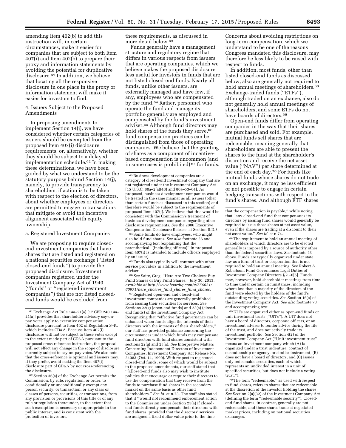amending Item 402(b) to add this instruction will, in certain circumstances, make it easier for companies that are subject to both Item 407(i) and Item 402(b) to prepare their proxy and information statements by avoiding the potential for duplicative disclosure.61 In addition, we believe that locating all the responsive disclosure in one place in the proxy or information statement will make it easier for investors to find.

# 4. Issuers Subject to the Proposed Amendments

In proposing amendments to implement Section 14(j), we have considered whether certain categories of issuers should be exempted from the proposed Item 407(i) disclosure requirements, or, alternatively, whether they should be subject to a delayed implementation schedule.62 In making these determinations, we have been guided by what we understand to be the statutory purpose behind Section 14(j), namely, to provide transparency to shareholders, if action is to be taken with respect to the election of directors, about whether employees or directors are permitted to engage in transactions that mitigate or avoid the incentive alignment associated with equity ownership.

a. Registered Investment Companies

We are proposing to require closedend investment companies that have shares that are listed and registered on a national securities exchange (''listed closed-end funds'') to provide the proposed disclosure. Investment companies registered under the Investment Company Act of 1940 (''funds'' or ''registered investment companies'') that are not listed closedend funds would be excluded from

62Section 36(a) of the Exchange Act permits the Commission, by rule, regulation, or order, to conditionally or unconditionally exempt any person security, or transaction, or any class or classes of persons, securities, or transactions, from any provision or provisions of this title or of any rule or regulation thereunder, to the extent that such exemption is necessary or appropriate in the public interest, and is consistent with the protection of investors.

these requirements, as discussed in more detail below.63

Funds generally have a management structure and regulatory regime that differs in various respects from issuers that are operating companies, which we believe makes the proposed disclosure less useful for investors in funds that are not listed closed-end funds. Nearly all funds, unlike other issuers, are externally managed and have few, if any, employees who are compensated by the fund.<sup>64</sup> Rather, personnel who operate the fund and manage its portfolio generally are employed and compensated by the fund's investment adviser.65 Although fund directors may hold shares of the funds they serve,<sup>66</sup> fund compensation practices can be distinguished from those of operating companies. We believe that the granting of shares as a component of incentivebased compensation is uncommon (and in some cases is prohibited) 67 for funds.

64Some funds do have employees, who might also hold fund shares. *See also* footnote 36 and accompanying text (explaining that the parenthetical ''(including officers)'' in proposed Item 407(i) is intended to include officers employed by an issuer).

 $^{65}\rm \,Funds$  also typically will contract with other service providers in addition to the investment adviser.

66*See* Saitz, Greg, ''Here Are Two Choices: Buy Fund Shares or Buy Fund Shares,'' July 30, 2013, *available at [http://www.boardiq.com/c/556021/](http://www.boardiq.com/c/556021/60971/here_choices_fund_shares_fund_shares) [60971/here](http://www.boardiq.com/c/556021/60971/here_choices_fund_shares_fund_shares)*\_*choices*\_*fund*\_*shares*\_*fund*\_*shares.* 

67Registered open-end and closed-end investment companies are generally prohibited from issuing their securities for services. *See*  Sections 22(g) (open-end funds) and 23(a) (closedend funds) of the Investment Company Act. Recognizing that ''effective fund governance can be enhanced when funds align the interests of their directors with the interests of their shareholders,'' our staff has provided guidance concerning the circumstances under which funds may compensate fund directors with fund shares consistent with sections 22(g) and 23(a). *See* Interpretive Matters Concerning Independent Directors of Investment Companies, Investment Company Act Release No. 24083 (Oct. 14, 1999). With respect to registered closed-end funds, some of which would be subject to the proposed amendments, our staff stated that ''[c]losed-end funds also may wish to institute policies that encourage or require their directors to use the compensation that they receive from the funds to purchase fund shares in the secondary market on the same basis as other fund shareholders.'' *See id.* at n.73. The staff also stated that it ''would not recommend enforcement action to the Commission under Section 23(a) if closedend funds directly compensate their directors with fund shares, provided that the directors' services are assigned a fixed dollar value prior to the time

Concerns about avoiding restrictions on long-term compensation, which we understand to be one of the reasons Congress mandated this disclosure, may therefore be less likely to be raised with respect to funds.

In addition, most funds, other than listed closed-end funds as discussed below, also are generally not required to hold annual meetings of shareholders.<sup>68</sup> Exchange-traded funds (''ETFs''), although traded on an exchange, also do not generally hold annual meetings of shareholders, and some ETFs do not have boards of directors.69

Open-end funds differ from operating companies in the way that their shares are purchased and sold. For example, mutual funds sell shares that are redeemable, meaning generally that shareholders are able to present the shares to the fund at the shareholder's discretion and receive the net asset value (''NAV'') per share determined at the end of each day.70 For funds like mutual funds whose shares do not trade on an exchange, it may be less efficient or not possible to engage in certain hedging transactions with respect to the fund's shares. And although ETF shares

68The requirement to hold an annual meeting of shareholders at which directors are to be elected generally is imposed by a source of authority other than the federal securities laws. *See* footnote 43 above. Funds are typically organized under state law as a form of trust or corporation that is not required to hold an annual meeting. See Robert A. Robertson, Fund Governance: Legal Duties of Investment Company Directors § 2.–6[5]. Funds may, however, hold shareholder meetings from time to time under certain circumstances, including where less than a majority of the directors of the fund were elected by the holders of the fund's outstanding voting securities. *See* Section 16(a) of the Investment Company Act. *See also* footnote 73 and accompanying text.

69ETFs are organized either as open-end funds or unit investment trusts (''UITs''). A UIT does not have a board of directors, corporate officers, or an investment adviser to render advice during the life of the trust, and does not actively trade its investment portfolio. *See* Section 4(2) of the Investment Company Act (''Unit investment trust'' means an investment company which (A) is organized under a trust indenture, contract of custodianship or agency, or similar instrument, (B) does not have a board of directors, and (C) issues only redeemable securities, each of which represents an undivided interest in a unit of specified securities, but does not include a voting trust.'').

70The term ''redeemable,'' as used with respect to fund shares, refers to shares that are redeemable at the discretion of the investor holding the shares. *See* Section 2(a)(32) of the Investment Company Act (defining the term ''redeemable security''). Closedend fund shares, in contrast, generally are not redeemable, and these shares trade at negotiated market prices, including on national securities exchanges.

<sup>61</sup>Exchange Act Rule 14a–21(a) [17 CFR 240.14a– 21(a)] provides that shareholder advisory say-onpay votes apply to executive compensation disclosure pursuant to Item 402 of Regulation S–K, which includes CD&A. Because Item 407(i) disclosure will not be subject to these votes except to the extent made part of CD&A pursuant to the proposed cross-reference instruction, the proposal will not effect any change in the scope of disclosure currently subject to say-on-pay votes. We also note that the cross-reference is optional and issuers may, if they prefer, avoid making the Item 407(i) disclosure part of CD&A by not cross-referencing the disclosure.

 $\,$ 63<br> Business development companies are a category of closed-end investment company that are not registered under the Investment Company Act [15 U.S.C. 80a–2(a)(48) and 80a–53–64]. As proposed, business development companies would be treated in the same manner as all issuers (other than certain funds as discussed in this section) and therefore would be subject to the requirements of proposed Item 407(i). We believe that this would be consistent with the Commission's treatment of business development companies regarding other disclosure requirements. *See* the 2006 Executive Compensation Disclosure Release, at Section II.D.3.

that the compensation is payable,'' while noting that ''any closed-end fund that compensates its directors by issuing fund shares would generally be required to issue those shares at net asset value, even if the shares are trading at a discount to their net asset value.'' *See id.* at n.74.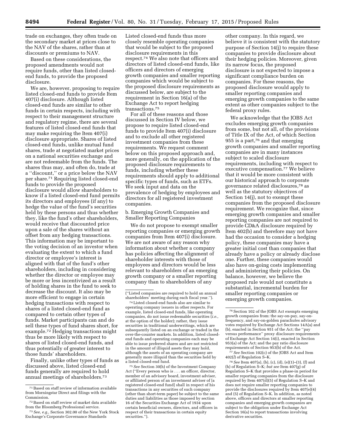trade on exchanges, they often trade on the secondary market at prices close to the NAV of the shares, rather than at discounts or premiums to NAV.

Based on these considerations, the proposed amendments would not require funds, other than listed closedend funds, to provide the proposed disclosure.

We are, however, proposing to require listed closed-end funds to provide Item 407(i) disclosure. Although listed closed-end funds are similar to other funds in certain respects, including with respect to their management structure and regulatory regime, there are several features of listed closed-end funds that may make requiring the Item 407(i) disclosure appropriate. Shares of listed closed-end funds, unlike mutual fund shares, trade at negotiated market prices on a national securities exchange and are not redeemable from the funds. The shares thus may, and often do, trade at a ''discount,'' or a price below the NAV per share.71 Requiring listed closed-end funds to provide the proposed disclosure would allow shareholders to know if a listed closed-end fund permits its directors and employees (if any) to hedge the value of the fund's securities held by these persons and thus whether they, like the fund's other shareholders, would receive that discounted price upon a sale of the shares without an offset from any hedging transactions. This information may be important to the voting decision of an investor when evaluating the extent to which a fund director or employee's interest is aligned with that of the fund's other shareholders, including in considering whether the director or employee may be more or less incentivized as a result of holding shares in the fund to seek to decrease the discount. It also may be more efficient to engage in certain hedging transactions with respect to shares of a listed closed-end fund as compared to certain other types of funds. Market participants can and do sell these types of fund shares short, for example.72 Hedging transactions might thus be more likely with respect to shares of listed closed-end funds, and thus potentially of greater interest to those funds' shareholders.

Finally, unlike other types of funds as discussed above, listed closed-end funds generally are required to hold annual meetings of shareholders.73

Listed closed-end funds thus more closely resemble operating companies that would be subject to the proposed disclosure requirements in this respect.74 We also note that officers and directors of listed closed-end funds, like officers and directors of emerging growth companies and smaller reporting companies which would be subject to the proposed disclosure requirements as discussed below, are subject to the requirement in Section 16(a) of the Exchange Act to report hedging transactions.75

For all of these reasons and those discussed in Section IV below, we propose to require listed closed-end funds to provide Item 407(i) disclosure and to exclude all other registered investment companies from these requirements. We request comment below on this proposed approach and, more generally, on the application of the proposed disclosure requirements to funds, including whether these requirements should apply to additional specific types of funds, such as ETFs. We seek input and data on the prevalence of hedging by employees and directors for all registered investment companies.

b. Emerging Growth Companies and Smaller Reporting Companies

We do not propose to exempt smaller reporting companies or emerging growth companies from Item 407(i) disclosure. We are not aware of any reason why information about whether a company has policies affecting the alignment of shareholder interests with those of employees and directors would be less relevant to shareholders of an emerging growth company or a smaller reporting company than to shareholders of any

74Listed closed-end funds also are similar to operating company issuers in other respects. For example, listed closed-end funds, like operating companies, do not issue redeemable securities (*i.e.,*  at the option of the holder); rather, they issue securities in traditional underwritings, which are subsequently listed on an exchange or traded in the over-the-counter markets. In addition, listed closedend funds and operating companies each may be able to issue preferred shares and are not restricted in the amount of illiquid assets they may hold, although the assets of an operating company are generally more illiquid than the securities held by a listed closed-end fund.

75*See* Section 30(h) of the Investment Company Act (''Every person who is . . . an officer, director, member of an advisory board, investment adviser, or affiliated person of an investment adviser of [a registered closed-end fund] shall in respect of his transactions in any securities of such company (other than short-term paper) be subject to the same duties and liabilities as those imposed by section 16 of the Securities Exchange Act of 1934 upon certain beneficial owners, directors, and officers in respect of their transactions in certain equity securities.").

other company. In this regard, we believe it is consistent with the statutory purpose of Section 14(j) to require these companies to provide disclosure about their hedging policies. Moreover, given its narrow focus, the proposed disclosure is not expected to impose a significant compliance burden on companies. For these reasons, the proposed disclosure would apply to smaller reporting companies and emerging growth companies to the same extent as other companies subject to the federal proxy rules.

We acknowledge that the JOBS Act excludes emerging growth companies from some, but not all, of the provisions of Title IX of the Act, of which Section 955 is a part,76 and that emerging growth companies and smaller reporting companies are in many instances subject to scaled disclosure requirements, including with respect to executive compensation.77 We believe that it would be more consistent with our historical approach to corporate governance related disclosures,78 as well as the statutory objectives of Section 14(j), not to exempt these companies from the proposed disclosure requirement. We recognize that, since emerging growth companies and smaller reporting companies are not required to provide CD&A disclosure required by Item 402(b) and therefore may not have had the occasion to consider a hedging policy, these companies may have a greater initial cost than companies that already have a policy or already disclose one. Further, these companies would also have on-going costs implementing and administering their policies. On balance, however, we believe the proposed rule would not constitute a substantial, incremental burden for smaller reporting companies or emerging growth companies.

77*See* Section 102(c) of the JOBS Act and Item 402(*l*) of Regulation S–K.

78*See* Item 407(a), (b), (c), (d), (e)(1)–(3), (f) and (h) of Regulation S–K; *but see* Item 407(g) of Regulation S–K that provides a phase-in period for smaller reporting companies from the disclosure required by Item  $407(d)(5)$  of Regulation S–K and does not require smaller reporting companies to provide the disclosures required by Item 407(e)(4) and (5) of Regulation S–K. In addition, as noted above, officers and directors at smaller reporting companies and emerging growth companies are subject to the obligation under Exchange Act Section 16(a) to report transactions involving derivative securities.

<sup>71</sup>Based on staff review of information available from Morningstar Direct and filings with the Commission.

<sup>72</sup>Based on staff review of market data available from the Bloomberg Professional service.

<sup>73</sup>*See, e.g.,* Section 302.00 of the New York Stock Exchange's Corporate Governance Standards

<sup>(&#</sup>x27;'Listed companies are required to hold an annual shareholders' meeting during each fiscal year.'').

<sup>76</sup>Section 102 of the JOBS Act exempts emerging growth companies from: the say-on-pay, say-onfrequency, and say-on-golden parachutes advisory votes required by Exchange Act Sections 14A(a) and (b), enacted in Section 951 of the Act; the ''pay versus performance'' proxy disclosure requirements of Exchange Act Section 14(i), enacted in Section 953(a) of the Act; and the pay ratio disclosure requirements of Section 953(b) of the Act.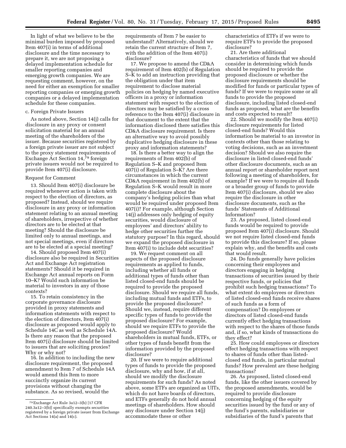In light of what we believe to be the minimal burden imposed by proposed Item 407(i) in terms of additional disclosure and the time necessary to prepare it, we are not proposing a delayed implementation schedule for smaller reporting companies and emerging growth companies. We are requesting comment, however, on the need for either an exemption for smaller reporting companies or emerging growth companies or a delayed implementation schedule for these companies.

# c. Foreign Private Issuers

As noted above, Section 14(j) calls for disclosure in any proxy or consent solicitation material for an annual meeting of the shareholders of the issuer. Because securities registered by a foreign private issuer are not subject to the proxy statement requirements of Exchange Act Section 14,79 foreign private issuers would not be required to provide Item 407(i) disclosure.

#### Request for Comment

13. Should Item 407(i) disclosure be required whenever action is taken with respect to the election of directors, as proposed? Instead, should we require disclosure in any proxy or information statement relating to an annual meeting of shareholders, irrespective of whether directors are to be elected at that meeting? Should the disclosure be limited only to annual meetings, and not special meetings, even if directors are to be elected at a special meeting?

14. Should proposed Item 407(i) disclosure also be required in Securities Act and Exchange Act registration statements? Should it be required in Exchange Act annual reports on Form 10–K? Would such information be material to investors in any of those contexts?

15. To retain consistency in the corporate governance disclosure provided in proxy statements and information statements with respect to the election of directors, Item 407(i) disclosure as proposed would apply to Schedule 14C as well as Schedule 14A. Is there any reason that the proposed Item 407(i) disclosure should be limited to issuers that are soliciting proxies? Why or why not?

16. In addition to including the new disclosure requirement, the proposed amendment to Item 7 of Schedule 14A would amend this Item to more succinctly organize its current provisions without changing the substance. As so revised, would the

requirements of Item 7 be easier to understand? Alternatively, should we retain the current structure of Item 7, with the addition of the Item 407(i) disclosure?

17. We propose to amend the CD&A requirement of Item 402(b) of Regulation S–K to add an instruction providing that the obligation under that item requirement to disclose material policies on hedging by named executive officers in a proxy or information statement with respect to the election of directors may be satisfied by a cross reference to the Item 407(i) disclosure in that document to the extent that the information disclosed there satisfies this CD&A disclosure requirement. Is there an alternative way to avoid possibly duplicative hedging disclosure in these proxy and information statements?

18. Is there a better way to align the requirements of Item 402(b) of Regulation S–K and proposed Item 407(i) of Regulation S–K? Are there circumstances in which the current CD&A requirement in Item 402(b) of Regulation S–K would result in more complete disclosure about the company's hedging policies than what would be required under proposed Item 407(i)? For example, although Section 14(j) addresses only hedging of equity securities, would disclosure of employees' and directors' ability to hedge other securities further the statutory purpose? In this regard, should we expand the proposed disclosure in Item 407(i) to include debt securities?

19. We request comment on all aspects of the proposed disclosure requirements as applied to funds, including whether all funds or additional types of funds other than listed closed-end funds should be required to provide the proposed disclosure. Should we require all funds, including mutual funds and ETFs, to provide the proposed disclosure? Should we, instead, require different specific types of funds to provide the proposed disclosure? For example, should we require ETFs to provide the proposed disclosure? Would shareholders in mutual funds, ETFs, or other types of funds benefit from the information provided by the proposed disclosure?

20. If we were to require additional types of funds to provide the proposed disclosure, why and how, if at all, should we modify the disclosure requirements for such funds? As noted above, some ETFs are organized as UITs, which do not have boards of directors, and ETFs generally do not hold annual meetings of shareholders. How should any disclosure under Section 14(j) accommodate these or other

characteristics of ETFs if we were to require ETFs to provide the proposed disclosure?

21. Are there additional characteristics of funds that we should consider in determining which funds should be required to provide the proposed disclosure or whether the disclosure requirements should be modified for funds or particular types of funds? If we were to require some or all funds to provide the proposed disclosure, including listed closed-end funds as proposed, what are the benefits and costs expected to result?

22. Should we modify the Item 407(i) disclosure requirements for listed closed-end funds? Would this information be material to an investor in contexts other than those relating to voting decisions, such as an investment decision? Should we also require the disclosure in listed closed-end funds' other disclosure documents, such as an annual report or shareholder report next following a meeting of shareholders, for example? If we were to require all funds or a broader group of funds to provide Item 407(i) disclosure, should we also require the disclosure in other disclosure documents, such as the funds' Statements of Additional Information?

23. As proposed, listed closed-end funds would be required to provide proposed Item 407(i) disclosure. Should we not require listed closed-end funds to provide this disclosure? If so, please explain why, and the benefits and costs that would result.

24. Do funds generally have policies concerning their employees and directors engaging in hedging transactions of securities issued by their respective funds, or policies that prohibit such hedging transactions? To what extent do employees or directors of listed closed-end funds receive shares of such funds as a form of compensation? Do employees or directors of listed closed-end funds currently effect hedging transactions with respect to the shares of those funds and, if so, what kinds of transactions do they effect?

25. How could employees or directors effect hedging transactions with respect to shares of funds other than listedclosed end funds, in particular mutual funds? How prevalent are these hedging transactions?

26. As proposed, listed closed-end funds, like the other issuers covered by the proposed amendments, would be required to provide disclosure concerning hedging of the equity securities issued by the fund or any of the fund's parents, subsidiaries or subsidiaries of the fund's parents that

<sup>79</sup>Exchange Act Rule 3a12–3(b) [17 CFR 240.3a12–3(b)] specifically exempts securities registered by a foreign private issuer from Exchange Act Sections 14(a) and 14(c).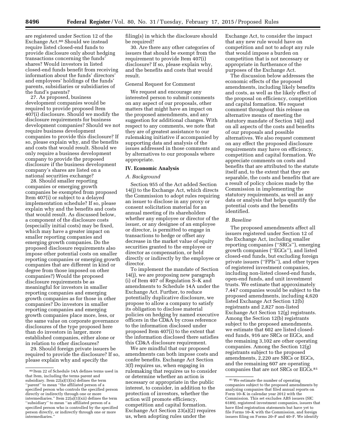are registered under Section 12 of the Exchange Act.80 Should we instead require listed closed-end funds to provide disclosure only about hedging transactions concerning the funds' shares? Would investors in listed closed-end funds benefit from receiving information about the funds' directors' and employees' holdings of the funds' parents, subsidiaries or subsidiaries of the fund's parents?

27. As proposed, business development companies would be required to provide proposed Item 407(i) disclosure. Should we modify the disclosure requirements for business development companies? Should we not require business development companies to provide this disclosure? If so, please explain why, and the benefits and costs that would result. Should we only require a business development company to provide the proposed disclosure if the business development company's shares are listed on a national securities exchange?

28. Should smaller reporting companies or emerging growth companies be exempted from proposed Item 407(i) or subject to a delayed implementation schedule? If so, please explain why and the benefits and costs that would result. As discussed below, a component of the disclosure costs (especially initial costs) may be fixed, which may have a greater impact on smaller reporting companies and emerging growth companies. Do the proposed disclosure requirements also impose other potential costs on smaller reporting companies or emerging growth companies that are different in kind or degree from those imposed on other companies?) Would the proposed disclosure requirements be as meaningful for investors in smaller reporting companies and emerging growth companies as for those in other companies? Do investors in smaller reporting companies and emerging growth companies place more, less, or the same value on corporate governance disclosures of the type proposed here than do investors in larger, more established companies, either alone or in relation to other disclosures?

29. Should foreign private issuers be required to provide the disclosure? If so, please explain why and specify the

filing(s) in which the disclosure should be required?

30. Are there any other categories of issuers that should be exempt from the requirement to provide Item 407(i) disclosure? If so, please explain why, and the benefits and costs that would result.

#### General Request for Comment

We request and encourage any interested person to submit comments on any aspect of our proposals, other matters that might have an impact on the proposed amendments, and any suggestion for additional changes. With respect to any comments, we note that they are of greatest assistance to our rulemaking initiative if accompanied by supporting data and analysis of the issues addressed in those comments and by alternatives to our proposals where appropriate.

# **IV. Economic Analysis**

#### *A. Background*

Section 955 of the Act added Section 14(j) to the Exchange Act, which directs the Commission to adopt rules requiring an issuer to disclose in any proxy or consent solicitation material for an annual meeting of its shareholders whether any employee or director of the issuer, or any designee of an employee or director, is permitted to engage in transactions to hedge or offset any decrease in the market value of equity securities granted to the employee or director as compensation, or held directly or indirectly by the employee or director.

To implement the mandate of Section 14(j), we are proposing new paragraph (i) of Item 407 of Regulation S–K and amendments to Schedule 14A under the Exchange Act. Further, to reduce potentially duplicative disclosure, we propose to allow a company to satisfy its obligation to disclose material policies on hedging by named executive officers in the CD&A by cross reference to the information disclosed under proposed Item 407(i) to the extent that the information disclosed there satisfies this CD&A disclosure requirement.

We are mindful that our proposed amendments can both impose costs and confer benefits. Exchange Act Section 3(f) requires us, when engaging in rulemaking that requires us to consider or determine whether an action is necessary or appropriate in the public interest, to consider, in addition to the protection of investors, whether the action will promote efficiency, competition and capital formation. Exchange Act Section 23(a)(2) requires us, when adopting rules under the

Exchange Act, to consider the impact that any new rule would have on competition and not to adopt any rule that would impose a burden on competition that is not necessary or appropriate in furtherance of the purposes of the Exchange Act.

The discussion below addresses the economic effects of the proposed amendments, including likely benefits and costs, as well as the likely effect of the proposal on efficiency, competition and capital formation. We request comment throughout this release on alternative means of meeting the statutory mandate of Section 14(j) and on all aspects of the costs and benefits of our proposals and possible alternatives. We also request comment on any effect the proposed disclosure requirements may have on efficiency, competition and capital formation. We appreciate comments on costs and benefits that are attributed to the statute itself and, to the extent that they are separable, the costs and benefits that are a result of policy choices made by the Commission in implementing the statutory requirements, as well as any data or analysis that helps quantify the potential costs and the benefits identified.

#### *B. Baseline*

The proposed amendments affect all issuers registered under Section 12 of the Exchange Act, including smaller reporting companies (''SRCs''), emerging growth companies (''EGCs''), and listed closed-end funds, but excluding foreign private issuers (''FPIs''), and other types of registered investment companies, including non-listed closed-end funds, open-end funds, and unit investment trusts. We estimate that approximately 7,447 companies would be subject to the proposed amendments, including 4,620 listed Exchange Act Section 12(b) registrants and 2,827 non-listed Exchange Act Section 12(g) registrants. Among the Section 12(b) registrants subject to the proposed amendments, we estimate that 602 are listed closedend funds, 916 are SRCs or EGCs, and the remaining 3,102 are other operating companies. Among the Section 12(g) registrants subject to the proposed amendments, 2,220 are SRCs or EGCs, and the remaining 607 are operating companies that are not SRCs or EGCs.81

<sup>80</sup> Item 22 of Schedule 14A defines terms used in that Item, including the terms parent and subsidiary. Item 22(a)(1)(ix) defines the term ''parent'' to mean ''the affiliated person of a specified person who controls the specified person directly or indirectly through one or more intermediaries." Item  $22(a)(1)(xii)$  defines the term ''subsidiary'' to mean ''an affiliated person of a specified person who is controlled by the specified person directly, or indirectly through one or more intermediaries.

<sup>81</sup>We estimate the number of operating companies subject to the proposed amendments by analyzing companies that filed annual reports on Form 10–K in calendar year 2012 with the Commission. This set excludes ABS issuers (SIC 6189), registered investment companies, issuers that have filed registration statements but have yet to file Forms 10–K with the Commission, and foreign issuers filing on Forms 20–F and 40–F. We identify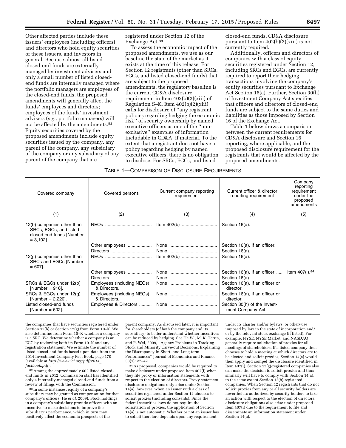Other affected parties include these issuers' employees (including officers) and directors who hold equity securities of these issuers, and investors in general. Because almost all listed closed-end funds are externally managed by investment advisers and only a small number of listed closedend funds are internally managed where the portfolio managers are employees of the closed-end funds, the proposed amendments will generally affect the funds' employees and directors; employees of the funds' investment advisers (*e.g.,* portfolio managers) will not be affected by the amendments.<sup>82</sup> Equity securities covered by the proposed amendments include equity securities issued by the company, any parent of the company, any subsidiary of the company or any subsidiary of any parent of the company that are

registered under Section 12 of the Exchange Act.83

To assess the economic impact of the proposed amendments, we use as our baseline the state of the market as it exists at the time of this release. For Section 12 registrants (other than SRCs, EGCs, and listed closed-end funds) that are subject to the proposed amendments, the regulatory baseline is the current CD&A disclosure requirement in Item 402(b)(2)(xiii) of Regulation S–K. Item  $402(b)(2)(xiii)$ calls for disclosure of ''any registrant policies regarding hedging the economic risk'' of security ownership by named executive officers as one of the ''nonexclusive'' examples of information includable in CD&A, if material. To the extent that a registrant does not have a policy regarding hedging by named executive officers, there is no obligation to disclose. For SRCs, EGCs, and listed

closed-end funds, CD&A disclosure pursuant to Item 402(b)(2)(xiii) is not currently required.

Additionally, officers and directors of companies with a class of equity securities registered under Section 12, including SRCs and EGCs, are currently required to report their hedging transactions involving the company's equity securities pursuant to Exchange Act Section 16(a). Further, Section 30(h) of Investment Company Act specifies that officers and directors of closed-end funds are subject to the same duties and liabilities as those imposed by Section 16 of the Exchange Act.

Table 1 below draws a comparison between the current requirements for CD&A disclosure and Section 16 reporting, where applicable, and the proposed disclosure requirement for the registrants that would be affected by the proposed amendments.

| Covered company                                                                                 | Covered persons                                         | Current company reporting<br>requirement | Current officer & director<br>reporting requirement            | Company<br>reporting<br>requirement<br>under the<br>proposed<br>amendments |
|-------------------------------------------------------------------------------------------------|---------------------------------------------------------|------------------------------------------|----------------------------------------------------------------|----------------------------------------------------------------------------|
| (1)                                                                                             | (2)                                                     | (3)                                      | (4)                                                            | (5)                                                                        |
| 12(b) companies other than<br>SRCs, EGCs, and listed<br>closed-end funds [Number<br>$= 3,102$ . |                                                         |                                          | Section 16(a).                                                 |                                                                            |
|                                                                                                 | Other employees                                         |                                          | Section 16(a), if an officer.                                  |                                                                            |
| $12(g)$ companies other than<br>SRCs and EGCs [Number<br>$= 607$ .                              | Directors                                               |                                          | Section 16(a).<br>Section 16(a).                               |                                                                            |
|                                                                                                 | Other employees                                         |                                          | Section 16(a), if an officer                                   | Item 407(i). <sup>84</sup>                                                 |
| SRCs & EGCs under 12(b)<br>[Number = $916$ ].                                                   | Directors<br>Employees (including NEOs)<br>& Directors. |                                          | Section 16(a).<br>Section 16(a), if an officer or<br>director. |                                                                            |
| SRCs & EGCs under 12(g)<br>[Number = $2,220$ ].                                                 | Employees (including NEOs)<br>& Directors.              |                                          | Section 16(a), if an officer or<br>director.                   |                                                                            |
| Listed closed-end funds<br>[Number = $602$ ].                                                   | Employees & Directors                                   |                                          | Section 30(h) of the Invest-<br>ment Company Act.              |                                                                            |

the companies that have securities registered under Section 12(b) or Section 12(g) from Form 10–K. We also determine from Form 10–K whether a company is a SRC. We determine whether a company is an EGC by reviewing both its Form 10–K and any registration statement. We estimate the number of listed closed-end funds based upon data from the 2014 Investment Company Fact Book, page 170 (available at *[http://www.ici.org/pdf/2014](http://www.ici.org/pdf/2014_factbook.pdf)*\_ *[factbook.pdf](http://www.ici.org/pdf/2014_factbook.pdf)*).

82Among the approximately 602 listed closedend funds in 2012, Commission staff has identified only 4 internally-managed closed-end funds from a review of filings with the Commission.

83 In some instances, equity of a company's subsidiary may be granted as compensation for that company's officers (He *et al.* 2009). Stock holdings in a company's subsidiary provide officers with an incentive to make decisions to improve the subsidiary's performance, which in turn may positively affect the economic prospects of the

parent company. As discussed later, it is important for shareholders (of both the company and its subsidiary) to better understand whether incentives can be reduced by hedging. See He W., M. K. Tarun, and P. Wei, 2009, ''Agency Problems in Tracking Stock and Minority Carve-out Decisions: Explaining the Discrepancy in Short- and Long-term Performances'' Journal of Economics and Finance 33(1): 27–42.

84As proposed, companies would be required to make disclosure under proposed Item 407(i) when they file proxy or information statements with respect to the election of directors. Proxy statement disclosure obligations only arise under Section 14(a), however, when an issuer with a class of securities registered under Section 12 chooses to solicit proxies (including consents). Since the federal securities laws do not require the solicitation of proxies, the application of Section 14(a) is not automatic. Whether or not an issuer has to solicit therefore depends upon any requirement

under its charter and/or bylaws, or otherwise imposed by law in the state of incorporation and/ or by the relevant stock exchange (if listed). For example, NYSE, NYSE Market, and NASDAQ generally require solicitation of proxies for all meetings of shareholders. If a listed company then chooses to hold a meeting at which directors are to be elected and solicit proxies, Section 14(a) would then apply and compel the disclosure identified in Item 407(i). Section 12(g)-registered companies also can make the decision to solicit proxies and thus similarly will have to comply with Section 14(a), to the same extent Section 12(b)-registered companies. When Section 12 registrants that do not solicit proxies from any or all security holders are nevertheless authorized by security holders to take an action with respect to the election of directors, disclosure obligations also arise under proposed Item 407(i) due to the requirement to file and disseminate an information statement under Section 14(c).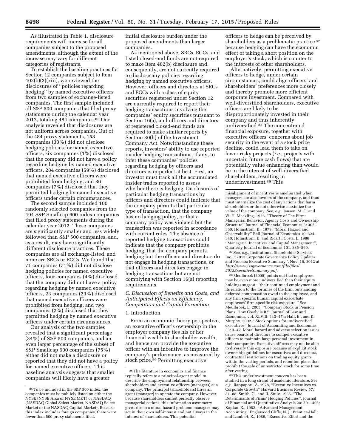As illustrated in Table 1, disclosure requirements will increase for all companies subject to the proposed amendments, although the extent of the increase may vary for different categories of registrants.

To establish the baseline practices for Section 12 companies subject to Item 402(b)(2)(xiii), we reviewed the disclosures of ''policies regarding hedging'' by named executive officers from two samples of exchange-listed companies. The first sample included all S&P 500 companies that filed proxy statements during the calendar year 2012, totaling 484 companies.85 Our analysis revealed that disclosures are not uniform across companies. Out of the 484 proxy statements, 158 companies (33%) did not disclose hedging policies for named executive officers, six companies (1%) disclosed that the company did not have a policy regarding hedging by named executive officers, 284 companies (59%) disclosed that named executive officers were prohibited from hedging, and 36 companies (7%) disclosed that they permitted hedging by named executive officers under certain circumstances.

The second sample included 100 randomly selected companies from the 494 S&P Smallcap 600 index companies that filed proxy statements during the calendar year 2012. These companies are significantly smaller and less widely followed than S&P 500 companies, and, as a result, may have significantly different disclosure practices. These companies are all exchange-listed, and none are SRCs or EGCs. We found that 71 companies (71%) did not disclose hedging policies for named executive officers, four companies (4%) disclosed that the company did not have a policy regarding hedging by named executive officers, 23 companies (23%) disclosed that named executive officers were prohibited from hedging, and two companies (2%) disclosed that they permitted hedging by named executive officers under certain circumstances.

Our analysis of the two samples revealed that a significant percentage (34%) of S&P 500 companies, and an even larger percentage of the subset of S&P Smallcap 600 companies (75%) either did not make a disclosure or reported that they did not have a policy for named executive officers. This baseline analysis suggests that smaller companies will likely have a greater

initial disclosure burden under the proposed amendments than larger companies.

As mentioned above, SRCs, EGCs, and listed closed-end funds are not required to make Item 402(b) disclosure and, consequently, are not currently required to disclose any policies regarding hedging by named executive officers. However, officers and directors at SRCs and EGCs with a class of equity securities registered under Section 12 are currently required to report their hedging transactions involving the companies' equity securities pursuant to Section 16(a), and officers and directors of registered closed-end funds are required to make similar reports by Section 30(h) of the Investment Company Act. Notwithstanding these reports, investors' ability to use reported insider hedging transactions, if any, to infer these companies' policies regarding hedging by officers and directors is imperfect at best. First, an investor must track all the accumulated insider trades reported to assess whether there is hedging. Disclosures of particular hedging transactions by officers and directors could indicate that the company permits that particular type of transaction, that the company has no hedging policy, or that a company policy was violated but the transaction was reported in accordance with current rules. The absence of reported hedging transactions could indicate that the company prohibits hedging, that the company permits hedging but the officers and directors do not engage in hedging transactions, or that officers and directors engage in hedging transactions but are not complying with Section 16(a) reporting requirements.

*C. Discussion of Benefits and Costs, and Anticipated Effects on Efficiency, Competition and Capital Formation* 

#### 1. Introduction

From an economic theory perspective, an executive officer's ownership in the employer company ties his or her financial wealth to shareholder wealth, and hence can provide the executive officer with an incentive to improve the company's performance, as measured by stock price.<sup>86</sup> Permitting executive

officers to hedge can be perceived by shareholders as a problematic practice 87 because hedging can have the economic effect of taking a short position on the employer's stock, which is counter to the interests of other shareholders.

Alternatively, permitting executive officers to hedge, under certain circumstances, could align officers' and shareholders' preferences more closely and thereby promote more efficient corporate investment. Compared with well-diversified shareholders, executive officers are likely to be disproportionately invested in their company and thus inherently undiversified.88 The concentrated financial exposure, together with executive officers' concerns about job security in the event of a stock price decline, could lead them to take on fewer risky projects (*i.e.,* projects with uncertain future cash flows) that are potentially value enhancing than would be in the interest of well-diversified shareholders, resulting in underinvestment.89 This

87See, *e.g.,* Institutional Shareholder Services Inc., ''2013 Corporate Governance Policy Updates and Process: Executive Summary'', Nov. 16, 2012 at *[http://www.issgovernance.com/file/files/](http://www.issgovernance.com/file/files/2013ExecutiveSummary.pdf) [2013ExecutiveSummary.pdf.](http://www.issgovernance.com/file/files/2013ExecutiveSummary.pdf)* 

88Meulbroek (2005) points out that employees may be even more undiversified than their equity holdings suggest: ''their continued employment and its relation to the fortunes of the firm, outstanding deferred compensation owed to the employee, and any firm specific human capital exacerbate employees' firm-specific risk exposure.'' See Meulbroek, L. 2005, ''Company Stock in Pension Plans: How Costly Is It?'' Journal of Law and Economics, vol. XLVIII: 443–474; Hall, B., and K. Murphy. 2002. ''Stock options for undiversified executives'' Journal of Accounting and Economics 33: 3–42. Moral hazard and adverse selection issues cause boards of directors to compel executive officers to maintain large personal investment in their companies. Executive officers may not be able to diversify this exposure because of explicit stock ownership guidelines for executives and directors, contractual restrictions on trading equity grants within the vesting periods, and retention plans that prohibit the sale of unrestricted stock for some time after vesting.

89This underinvestment concern has been studied in a long strand of academic literature. See *e.g.,* Rappaport, A. 1978, ''Executive Incentives vs. Corporate Growth'' Harvard Business Review 57: 81–88; Smith, C., and R. Stulz. 1985. ''The Determinants of Firms' Hedging Policies'', Journal of Financial and Quantitative Analysis 20: 391–405; Kaplan, R., 1982, ''Advanced Management Accounting'' Englewood Cliffs, N. J.: Prentice-Hall; and Lambert, R., 1986, ''Executive Effort and the

<sup>85</sup>To be included in the S&P 500 index, the companies must be publicly listed on either the NYSE (NYSE Arca or NYSE MKT) or NASDAQ (NASDAQ Global Select Market, NASDAQ Select Market or the NASDAQ Capital Market). Because this index includes foreign companies, there were fewer than 500 proxy statements filed.

<sup>86</sup>The literature in economics and finance typically refers to a principal-agent model to describe the employment relationship between shareholders and executive officers (managers) at a company. The principal (shareholders) hires an agent (manager) to operate the company. However, because shareholders cannot perfectly observe managerial actions, this information asymmetry gives rise to a moral hazard problem: managers may act in their own self-interest and not always in the interest of shareholders. This potential

misalignment of incentives is ameliorated when managers are also owners of the company, and thus must internalize the cost of any actions that harm shareholders or do not otherwise maximize the value of the company. See, *e.g.,* Jensen, M. C. and W. H. Meckling, 1976. "Theory of The Firm: Managerial Behavior, Agency Costs and Ownership Structure'' Journal of Financial Economics 3: 305– 360; Holmstrom, B., 1979. ''Moral Hazard and Observability'' Bell Journal of Economics 10: 324– 340; Holmstrom, B. and Ricart I Costa, J., 1986 ''Managerial Incentives and Capital Management'', Quarterly Journal of Economics 101, 835–860.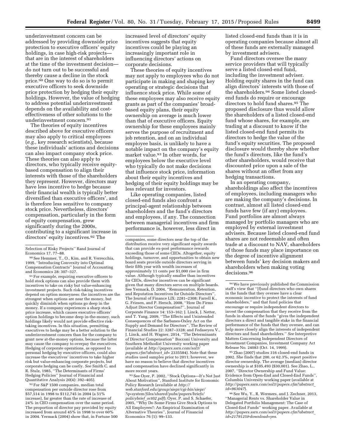underinvestment concern can be addressed by providing downside price protection to executive officers' equity holdings, in case high-risk projects that are in the interest of shareholders at the time of the investment decision do not turn out to be successful and thereby cause a decline in the stock price.90 One way to do so is to permit executive officers to seek downside price protection by hedging their equity holdings. However, the value of hedging to address potential underinvestment depends on the availability and costeffectiveness of other solutions to the underinvestment concern.91

The theories of equity incentives described above for executive officers may also apply to critical employees (*e.g.,* key research scientists), because these individuals' actions and decisions can also impact company stock price. These theories can also apply to directors, who typically receive equitybased compensation to align their interests with those of the shareholders they represent. However, directors may have less incentive to hedge because their financial wealth is typically better diversified than executive officers', and is therefore less sensitive to company stock price. Nevertheless, directors' compensation, particularly in the form of equity compensation, grew significantly during the 2000s, contributing to a significant increase in directors' equity incentives.92 The

90See Hemmer, T., O., Kim, and R. Verrecchia, 1999, ''Introducing Convexity into Optimal Compensation Contracts'' Journal of Accounting and Economics 28: 307–327.

91For example, requiring executive officers to hold stock options can also provide them with incentives to take on risky but value-enhancing investment projects. Such risk-taking incentives depend on option moneyness: the incentives are the strongest when options are near the money, but quickly diminish when options go deep in the money. If a company experiences a sharp stock price increase, which causes executive officers' option holdings to become deep in-the-money, such holdings likely would not provide effective risktaking incentives. In this situation, permitting executives to hedge may be a better solution to the underinvestment concern than for the company to grant new at-the-money options, because the latter may cause the company to overpay the executives. Hedging of corporate operations, as opposed to personal hedging by executive officers, could also increase the executives' incentives to take higher risk but value-enhancing corporate projects, but corporate hedging can be costly. *See* Smith C. and R. Stulz, 1985, ''The Determinants of Firms' Hedging Policies'' Journal of Financial and Quantitative Analysis 20(4): 392–405).

92For S&P 1500 companies, median total compensation per outside director rose from \$57,514 in 1998 to \$112,745 in 2004 (a 51% increase), far greater than the rate of increase of 24% in CEO compensation over the same period. The proportion of director pay provided by equity increased from around 45% in 1998 to over 60% in 2004. Yermack (2004) show that, in Fortune 500

increased level of directors' equity incentives suggests that equity incentives could be playing an increasingly important role in influencing directors' actions on corporate decisions.

These theories of equity incentives may not apply to employees who do not participate in making and shaping key operating or strategic decisions that influence stock price. While some of these employees may also receive equity grants as part of the companies' broadbased equity plans, their equity ownership on average is much lower than that of executive officers. Equity ownership for these employees mainly serves the purpose of recruitment and job retention, and on an individual employee basis, is unlikely to have a notable impact on the company's equity market value.93 In other words, for employees below the executive level who typically do not make decisions that influence stock price, information about their equity incentives and hedging of their equity holdings may be less relevant for investors.

Like operating companies, listed closed-end funds also confront a principal-agent relationship between shareholders and the fund's directors and employees, if any. The connection between managerial incentives and firm performance is, however, less direct in

93See Oyer, P. 2002, ''Stock Options—It's Not Just About Motivation'', Stanford Institute for Economic Policy Research (available at *[http://](http://web.stanford.edu/group/siepr/cgi-bin/siepr/?q=system/files/shared/pubs/papers/briefs/policybrief_oct02.pdf) [web.stanford.edu/group/siepr/cgi-bin/siepr/](http://web.stanford.edu/group/siepr/cgi-bin/siepr/?q=system/files/shared/pubs/papers/briefs/policybrief_oct02.pdf) [?q=system/files/shared/pubs/papers/briefs/](http://web.stanford.edu/group/siepr/cgi-bin/siepr/?q=system/files/shared/pubs/papers/briefs/policybrief_oct02.pdf) [policybrief](http://web.stanford.edu/group/siepr/cgi-bin/siepr/?q=system/files/shared/pubs/papers/briefs/policybrief_oct02.pdf)*\_*oct02.pdf*); Oyer, P. and S. Schaefer, 2005, ''Why Do Some Firms Give Stock Options to All Employees?: An Empirical Examination of Alternative Theories'', Journal of Financial Economics 76 (1): 99–133.

listed closed-end funds than it is in operating companies because almost all of these funds are externally managed by investment advisers.

Fund directors oversee the many service providers that will typically serve a listed closed-end fund, including the investment adviser. Holding equity shares in the fund can align directors' interests with those of the shareholders.94 Some listed closedend funds do require or encourage directors to hold fund shares.95 The proposed disclosure thus would allow the shareholders of a listed closed-end fund whose shares, for example, are trading at a discount to know if the listed closed-end fund permits its directors to hedge the value of the fund's equity securities. The proposed disclosure would thereby show whether the fund's directors, like the fund's other shareholders, would receive that discounted price upon a sale of the shares without an offset from any hedging transactions.

In an operating company, shareholdings also affect the incentives of employees, including managers who are making the company's decisions. In contrast, almost all listed closed-end funds have few (if any) employees. Fund portfolios are almost always managed by portfolio managers who are employed by external investment advisers. Because listed closed-end fund shares are not redeemable and often trade at a discount to NAV, shareholders of those funds may place importance on the degree of incentive alignment between funds' key decision makers and shareholders when making voting decisions.96

95Zhao (2007) studies 316 closed-end funds in 2002. She finds that 200, or 62.3%, report positive director ownership. The average (median) director ownership is at \$105,493 (\$30,001). See Zhao, L., 2007, ''Director Ownership and Fund Value: Evidence from Open-End and Closed-End Funds'', Columbia University working paper (available at *[http://papers.ssrn.com/sol3/papers.cfm?abstract](http://papers.ssrn.com/sol3/papers.cfm?abstract_id=963047)*\_ *[id=963047](http://papers.ssrn.com/sol3/papers.cfm?abstract_id=963047)*).

96See Wu, Y., R. Wermers, and J. Zechner, 2013, ''Managerial Rents vs. Shareholder Value in Delegated Portfolio Management: The Case of Closed-End Funds'' working paper. Available at *[http://papers.ssrn.com/sol3/papers.cfm?abstract](http://papers.ssrn.com/sol3/papers.cfm?abstract_id=2179125&download=yes)*\_ *[id=2179125&download=yes.](http://papers.ssrn.com/sol3/papers.cfm?abstract_id=2179125&download=yes)* 

Selection of Risky Projects'' Rand Journal of Economics 17, 77–88.

companies, some directors near the top of the distribution receive very significant equity awards that can provide ex-post performance rewards exceeding those of some CEOs. Altogether, equity holdings, turnover, and opportunities to obtain new board seats provide outside directors serving in their fifth year with wealth increases of approximately 11 cents per \$1,000 rise in firm value. Although typically smaller than incentives for CEOs, director incentives can be significant given that many directors serve on multiple boards. See Yermack, D. 2004, ''Remuneration, Retention, and Reputation Incentives for Outside Directors'' The Journal of Finance LIX: 2281–2308; Farrell K., G. Friesen, and P. Hersch, 2008, ''How Do Firms Adjust Director Compensation?'', Journal of Corporate Finance 14: 153–162; J. Linck, J. Netter, and T. Yang, 2009, ''The Effects and Unintended Consequences of the Sarbanes-Oxley Act on the Supply and Demand for Directors'', The Review of Financial Studies 22: 3287–3328; and Fedaseyeu V., J. Linck, and H. Wagner, 2014, ''The Determinants of Director Compensation'' Bocconi University and Southern Methodist University working paper (available at *[http://papers.ssrn.com/sol3/](http://papers.ssrn.com/sol3/papers.cfm?abstract_id=) [papers.cfm?abstract](http://papers.ssrn.com/sol3/papers.cfm?abstract_id=)*\_*id=* 2335584). Note that these studies used samples prior to 2011; however, we have no reason to believe that director incentives and compensation have declined significantly in more recent years.

<sup>94</sup>We have previously published the Commission staff's view that ''[f]und directors who own shares in the funds that they oversee have a clear economic incentive to protect the interests of fund shareholders,'' and that fund policies that encourage or require independent directors to invest the compensation that they receive from the funds in shares of the funds ''gives the independent directors a direct and tangible stake in the financial performance of the funds that they oversee, and can help more closely align the interests of independent directors and fund shareholders.'' *See* Interpretive Matters Concerning Independent Directors of Investment Companies, Investment Company Act Release No. 24083 (Oct. 14, 1999).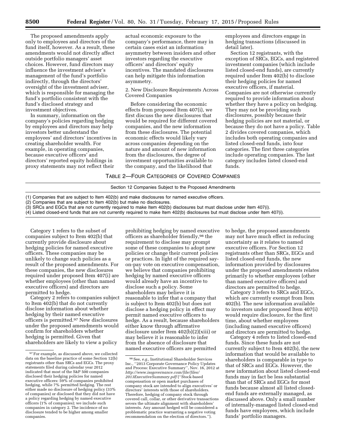The proposed amendments apply only to employees and directors of the fund itself, however. As a result, these amendments would not directly affect outside portfolio managers' asset choices. However, fund directors may influence the investment adviser's management of the fund's portfolio indirectly, through the directors' oversight of the investment adviser, which is responsible for managing the fund's portfolio consistent with the fund's disclosed strategy and investment objectives.

In summary, information on the company's policies regarding hedging by employees and directors may help investors better understand the employees' and directors' incentives in creating shareholder wealth. For example, in operating companies, because executive officers' and directors' reported equity holdings in proxy statements may not reflect their

actual economic exposure to the company's performance, there may in certain cases exist an information asymmetry between insiders and other investors regarding the executive officers' and directors' equity incentives. The mandated disclosures can help mitigate this information asymmetry.

2. New Disclosure Requirements Across Covered Companies

Before considering the economic effects from proposed Item 407(i), we first discuss the new disclosures that would be required for different covered companies, and the new information from these disclosures. The potential economic effects would likely vary across companies depending on the nature and amount of new information from the disclosures, the degree of investment opportunities available to the company, and the likelihood that

employees and directors engage in hedging transactions (discussed in detail later).

Section 12 registrants, with the exception of SRCs, EGCs, and registered investment companies (which include listed closed-end funds), are currently required under Item 402(b) to disclose their hedging policies for named executive officers, if material. Companies are not otherwise currently required to provide information about whether they have a policy on hedging. They may not be providing such disclosures, possibly because their hedging policies are not material, or because they do not have a policy. Table 2 divides covered companies, which includes both operating companies and listed closed-end funds, into four categories. The first three categories include operating companies. The last category includes listed closed-end funds.

TABLE 2—FOUR CATEGORIES OF COVERED COMPANIES

Section 12 Companies Subject to the Proposed Amendments

(1) Companies that are subject to Item 402(b) and make disclosures for named executive officers.

(2) Companies that are subject to Item 402(b) but make no disclosures.

(3) SRCs and EGCs that are not currently required to make Item 402(b) disclosures but must disclose under Item 407(i).

(4) Listed closed-end funds that are not currently required to make Item 402(b) disclosures but must disclose under Item 407(i).

Category 1 refers to the subset of companies subject to Item 402(b) that currently provide disclosure about hedging policies for named executive officers. These companies may be unlikely to change such policies as a result of the proposed amendments. For these companies, the new disclosures required under proposed Item 407(i) are whether employees (other than named executive officers) and directors are permitted to hedge.

Category 2 refers to companies subject to Item 402(b) that do not currently disclose information about whether hedging by their named executive officers is permitted.97 New disclosures under the proposed amendments would confirm for shareholders whether hedging is permitted. Given that shareholders are likely to view a policy

prohibiting hedging by named executive officers as shareholder friendly,98 the requirement to disclose may prompt some of these companies to adopt new policies or change their current policies or practices. In light of the required sayon-pay vote on executive compensation, we believe that companies prohibiting hedging by named executive officers would already have an incentive to disclose such a policy. Some shareholders may believe it is reasonable to infer that a company that is subject to Item 402(b) but does not disclose a hedging policy in effect may permit named executive officers to hedge. As a result, because shareholders either know through affirmative disclosure under Item 402(b)(2)(xiii) or may believe it is reasonable to infer from the absence of disclosure that named executive officers are permitted

to hedge, the proposed amendments may not have much effect in reducing uncertainty as it relates to named executive officers. For Section 12 registrants other than SRCs, EGCs and listed closed-end funds, the new information provided by disclosures under the proposed amendments relates primarily to whether employees (other than named executive officers) and directors are permitted to hedge.

Category 3 refers to SRCs and EGCs, which are currently exempt from Item 402(b). The new information available to investors under proposed Item 407(i) would require disclosure, for the first time, about whether employees (including named executive officers) and directors are permitted to hedge.

Category 4 refers to listed closed-end funds. Since these funds are not currently subject to Item 402(b), the new information that would be available to shareholders is comparable in type to that of SRCs and EGCs. However, the new information about listed closed-end funds may in fact be less substantial than that of SRCs and EGCs for most funds because almost all listed closedend funds are externally managed, as discussed above. Only a small number of internally-managed listed closed-end funds have employees, which include funds' portfolio managers.

<sup>97</sup>For example, as discussed above, we collected data on the baseline practice of some Section 12(b) registrants other than SRCs and EGCs. The proxy statements filed during calendar year 2012 indicated that most of the S&P 500 companies disclosed their hedging policies for named executive officers: 59% of companies prohibited hedging, while 7% permitted hedging. The rest either made no disclosure of hedging policy (33% of companies) or disclosed that they did not have a policy regarding hedging by named executive officers (1% of companies); we include such companies in category 2. The incidence of no disclosure tended to be higher among smaller companies.

<sup>98</sup>See, *e.g.,* Institutional Shareholder Services Inc., ''2013 Corporate Governance Policy Updates and Process: Executive Summary'', Nov. 16, 2012 at *[http://www.issgovernance.com/file/files/](http://www.issgovernance.com/file/files/2013ExecutiveSummary.pdf) [2013ExecutiveSummary.pdf](http://www.issgovernance.com/file/files/2013ExecutiveSummary.pdf)* (''Stock-based compensation or open market purchases of company stock are intended to align executives' or directors' interests with those of shareholders. Therefore, hedging of company stock through covered call, collar, or other derivative transactions severs the ultimate alignment with shareholders' interests. Any amount hedged will be considered a problematic practice warranting a negative voting recommendation on the election of directors.'').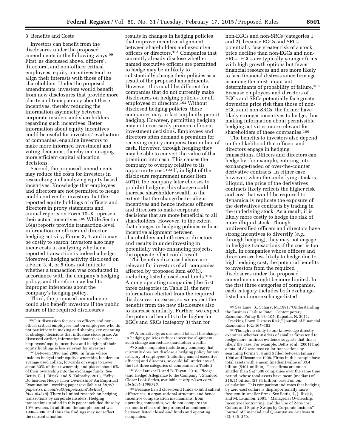#### 3. Benefits and Costs

Investors can benefit from the disclosures under the proposed amendments in the following ways.99 First, as discussed above, officers', directors', and non-officer critical employees' equity incentives tend to align their interests with those of the shareholders. Under the proposed amendments, investors would benefit from new disclosures that provide more clarity and transparency about these incentives, thereby reducing the information asymmetry between corporate insiders and shareholders regarding such incentives. Better information about equity incentives could be useful for investors' evaluation of companies, enabling investors to make more informed investment and voting decisions, thereby encouraging more efficient capital allocation decisions.

Second, the proposed amendments may reduce the costs for investors in researching and analyzing equity-based incentives. Knowledge that employees and directors are not permitted to hedge could confirm for investors that the reported equity holdings of officers and directors in proxy statements and annual reports on Form 10–K represent their actual incentives.100 While Section 16(a) reports provide transaction-level information on officer and director hedging activity, Forms 3, 4, and 5 may be costly to search; investors also may incur costs in analyzing whether a reported transaction is indeed a hedge. Moreover, hedging activity disclosed on a Form 3, 4, or 5 does not indicate whether a transaction was conducted in accordance with the company's hedging policy, and therefore may lead to improper inferences about the company's hedging policy.

Third, the proposed amendments could also benefit investors if the public nature of the required disclosures

100Between 1996 and 2006, in firms where insiders hedged their equity ownership, insiders on average used collars, forwards or swaps to cover about 30% of their ownership and placed about 9% of their ownership into the exchange funds. See Bettis, C., J. Bizjak, and S. Kalpathy, 2013, ''Why Do Insiders Hedge Their Ownership? An Empirical Examination'' working paper (available at *[http://](http://papers.ssrn.com/sol3/papers.cfm?abstract_id=1364810) [papers.ssrn.com/sol3/papers.cfm?abstract](http://papers.ssrn.com/sol3/papers.cfm?abstract_id=1364810)*\_ *[id=1364810](http://papers.ssrn.com/sol3/papers.cfm?abstract_id=1364810)*). There is limited research on hedging transactions by corporate insiders. Hedging transactions studied in this paper included those by 10% owners. In addition, the sample period was 1996–2006, and thus the findings may not reflect the current situation.

results in changes in hedging policies that improve incentive alignment between shareholders and executive officers or directors.101 Companies that currently already disclose whether named executive officers are permitted to hedge may be unlikely to substantially change their policies as a result of the proposed amendments. However, this could be different for companies that do not currently make disclosures on hedging policies for all employees or directors.102 Without disclosed hedging policies, these companies may in fact implicitly permit hedging. However, permitting hedging may not necessarily promote efficient investment decisions. Employees and directors often demand a premium for receiving equity compensation in lieu of cash. However, through hedging they may be able to convert the value of that premium into cash. This causes the company to overpay relative to its opportunity cost.103 If, in light of the disclosure requirement under Item 407(i), the company later chooses to prohibit hedging, this change could increase shareholder wealth to the extent that the change better aligns incentives and hence induces officers and directors to make corporate decisions that are more beneficial to all shareholders. However, to the extent that changes in hedging policies reduce incentive alignment between shareholders and officers or directors, and results in underinvesting in potentially value-enhancing projects, the opposite effect could result.

The benefits discussed above are relevant for investors of all companies affected by proposed Item 407(i), including listed closed-end funds.104 Among operating companies (the first three categories in Table 2), the new information elicited from the required disclosures increases, so we expect the benefits from the new disclosures also to increase similarly. Further, we expect the potential benefits to be higher for EGCs and SRCs (category 3) than for

103See Larcker D. and B. Tayan, 2010,''Pledge (and Hedge) Allegiance to the Company'', Stanford Closer Look Series, available at *[http://ssrn.com/](http://ssrn.com/abstract=1690746) [abstract=1690746.](http://ssrn.com/abstract=1690746)* 

non-EGCs and non-SRCs (categories 1 and 2), because EGCs and SRCs potentially face greater risk of a stock price decline than non-EGCs and non-SRCs. EGCs are typically younger firms with high growth options but fewer financial resources and are more likely to face financial distress since firm age is among the most important determinants of probability of failure.105 Because employees and directors of EGCs and SRCs potentially face greater downside price risk than those of non-EGCs and non-SRCs, the former have likely stronger incentives to hedge, thus making information about permissible hedging activities more relevant for shareholders of these companies.106

The benefits to investors also depend on the likelihood that officers and directors engage in hedging transactions. Officers and directors can hedge by, for example, entering into exchange-traded or over-the-counter derivative contracts. In either case, however, when the underlying stock is illiquid, the price of the derivatives contracts likely reflects the higher risk and cost that would be required to dynamically replicate the exposure of the derivatives contracts by trading in the underlying stock. As a result, it is likely more costly to hedge the risk of more illiquid stock. Though undiversified officers and directors have strong incentives to diversify (*e.g.,*  through hedging), they may not engage in hedging transactions if the cost is too high. In companies whose officers and directors are less likely to hedge due to high hedging cost, the potential benefits to investors from the required disclosures under the proposed amendments might be more limited. In the first three categories of companies, each category includes both exchangelisted and non-exchange-listed

 $^{\rm 106}\!\operatorname{Though}$  no study to our knowledge directly examines whether insiders of smaller firms tend to hedge more, indirect evidence suggests that this is likely the case. For example, Bettis et al. (2001) find a total of 87 zero-cost collar transactions by searching Forms 3, 4 and 5 filed between January 1996 and December 1998. Firms in this sample have total assets with a mean (median) value of \$3.4 billion (\$401 million). These firms are much smaller than S&P 500 companies over the same time period, whose total assets have mean (median) of \$16.15 billion (\$3.84 billion) based on our calculation. This comparison indicates that hedging by zero-cost collars is disproportionally more frequent in smaller firms. See Bettis, J., J. Bizjak, and M. Lemmon. 2001. ''Managerial Ownership, Incentive Contracting, and the Use of Zero-cost Collars and Equity Swaps by Corporate Insiders'' Journal of Financial and Quantitative Analysis 36 (3): 345–370.

<sup>99</sup>Our discussion focuses on officers and nonofficer critical employees, not on employees who do not participate in making and shaping key operating or strategic decisions that influence stock price. As discussed earlier, information about these other employees' equity incentives and hedging of their equity holdings is less relevant for investors.

<sup>101</sup>Alternatively, as discussed later, if the change in hedging policies reduces incentive alignment, such change can reduce shareholder wealth.

<sup>102</sup>Such companies include any company that currently does not disclose a hedging policy for any category of employees (including named executive officers) and directors, so could fall under any of the last three categories of companies in Table 2.

<sup>104</sup>Because listed closed-end funds exhibit salient differences in organizational structure, and hence incentive compensation mechanisms, from operating companies, we do not compare the economic effects of the proposed amendments between listed closed-end funds and operating companies.

<sup>105</sup>See Lane, S., Schary, M.,1991,''Understanding the Business Failure Rate'', Contemporary Economic Policy 9: 93–105; Kapadia, N. 2011. ''Tracking Down Distress Risk,'' Journal of Financial Economics 102: 167–182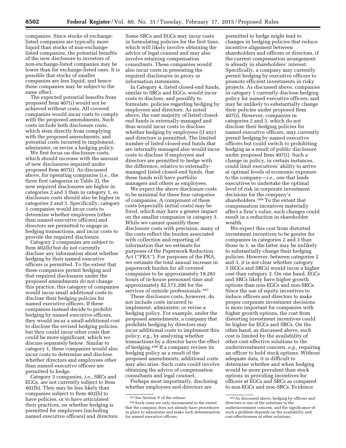companies. Since stocks of exchangelisted companies are typically more liquid than stocks of non-exchangelisted companies, the potential benefits of the new disclosure to investors of non-exchange-listed companies may be lower than for exchange-listed ones. It is possible that stocks of smaller companies are less liquid, and hence these companies may be subject to the same effect.

The expected potential benefits from proposed Item 407(i) would not be achieved without costs. All covered companies would incur costs to comply with the proposed amendments. Such costs include both disclosure costs, which stem directly from complying with the proposed amendments, and potential costs incurred to implement, administer, or revise a hedging policy.

We first focus on disclosure costs, which should increase with the amount of new disclosures required under proposed Item 407(i). As discussed above, for operating companies (*i.e.,* the three first categories in Table 2), the new required disclosures are higher in categories 2 and 3 than in category 1, so disclosure costs should also be higher in categories 2 and 3. Specifically, category 1 companies would incur costs to determine whether employees (other than named executive officers) and directors are permitted to engage in hedging transactions, and incur costs to provide the required disclosure.

Category 2 companies are subject to Item 402(b) but do not currently disclose any information about whether hedging by their named executive officers is permitted. To the extent that these companies permit hedging and that required disclosures under the proposed amendments do not change this practice, this category of companies would incur small additional costs to disclose their hedging policies for named executive officers. If these companies instead decide to prohibit hedging by named executive officers, they would incur a small additional cost to disclose the revised hedging policies, but they could incur other costs that could be more significant, which we discuss separately below. Similar to category 1, these companies would also incur costs to determine and disclose whether directors and employees other than named executive officers are permitted to hedge.

Category 3 companies, *i.e.,* SRCs and EGCs, are not currently subject to Item 402(b). They may be less likely than companies subject to Item 402(b) to have policies, or to have articulated their practices, on whether hedging is permitted for employees (including named executive officers) and directors.

Some SRCs and EGCs may incur costs in formulating policies for the first time, which will likely involve obtaining the advice of legal counsel and may also involve retaining compensation consultants. These companies would also incur costs in presenting the required disclosures in proxy or information statements.

In Category 4, listed closed-end funds, similar to SRCs and EGCs, would incur costs to disclose, and possibly to formulate, policies regarding hedging by employees and directors. As noted above, the vast majority of listed closedend funds is externally-managed and thus would incur costs to disclose whether hedging by employees (if any) and directors is permitted. The limited number of listed closed-end funds that are internally managed also would incur costs to disclose if employees and directors are permitted to hedge with the difference, relative to externallymanaged listed closed-end funds, that these funds will have portfolio managers and others as employees.

We expect the above disclosure costs to be minimal for these four categories of companies. A component of these costs (especially initial costs) may be fixed, which may have a greater impact on the smaller companies in category 3. While we cannot quantify these disclosure costs with precision, many of the costs reflect the burden associated with collection and reporting of information that we estimate for purposes of the Paperwork Reduction Act (''PRA''). For purposes of the PRA, we estimate the total annual increase in paperwork burden for all covered companies to be approximately 19,283 hours of in-house personnel time and approximately \$2,571,200 for the services of outside professionals.107

These disclosure costs, however, do not include costs incurred to implement, administer, or revise a hedging policy. For example, under the proposed amendments, a company that prohibits hedging by directors may incur additional costs to implement this policy, *e.g.,* by analyzing whether transactions by a director have the effect of hedging.108 If a company revises its hedging policy as a result of the proposed amendments, additional costs may also arise. Such costs could involve obtaining the advice of compensation consultants and legal counsel.

Perhaps most importantly, disclosing whether employees and directors are

permitted to hedge might lead to changes in hedging policies that reduce incentive alignment between shareholders and officers or directors, if the current compensation arrangement is already in shareholders' interest. Specifically, a company may currently permit hedging by executive officers to promote efficient investments in risky projects. As discussed above, companies in category 1 currently disclose hedging policy for named executive officers, and may be unlikely to substantially change their policies under proposed Item 407(i). However, companies in categories 2 and 3, which do not disclose their hedging policies for named executive officers, may currently permit hedging by named executive officers but could switch to prohibiting hedging as a result of public disclosure under proposed Item 407(i). Such a change in policy, in certain instances, could limit executives' ability to arrive at optimal levels of economic exposure to the company—*i.e.,* one that leads executives to undertake the optimal level of risk in corporate investment decisions for the company's shareholders.109 To the extent that compensation incentives materially affect a firm's value, such changes could result in a reduction in shareholder wealth.

We expect this cost from distorted investment incentives to be greater for companies in categories 2 and 3 than those in 1, as the latter may be unlikely to substantially change their hedging policies. However, between categories 2 and 3, it is not clear whether category 3 (EGCs and SRCs) would incur a higher cost than category 2. On one hand, EGCs and SRCs likely have higher growth options than non-EGCs and non-SRCs. Since the use of equity incentives to induce officers and directors to make proper corporate investment decisions is more important for companies with higher growth options, the cost from distorting investment incentives could be higher for EGCs and SRCs. On the other hand, as discussed above, such cost is limited by the availability of other cost-effective solutions to the underinvestment concern, *e.g.,* requiring an officer to hold stock options. Without adequate data, it is difficult to determine whether and when hedging would be more prevalent than stock options in providing incentives for officers at EGCs and SRCs as compared to non-EGCs and non-SRCs. Evidence

<sup>107</sup>See Section V of the release.

<sup>108</sup>Such costs are only incremental to the extent that the company does not already have procedures in place to administer and make such determination for named executive officers.

<sup>109</sup>As discussed above, hedging by officers and directors is one of the solutions to the underinvestment concern, and the significance of such a problem depends on the availability and cost-effectiveness of other solutions.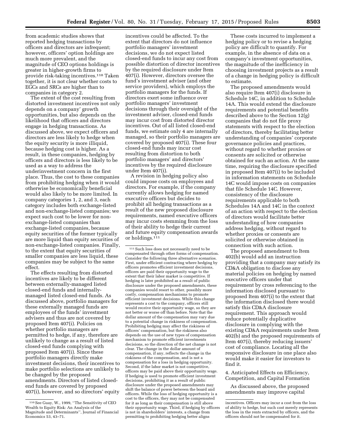from academic studies shows that reported hedging transactions by officers and directors are infrequent; however, officers' option holdings are much more prevalent, and the magnitude of CEO options holdings is greater in higher-growth firms to provide risk-taking incentives.110 Taken together, it is not clear whether costs to EGCs and SRCs are higher than to companies in category 2.

The extent of the cost resulting from distorted investment incentives not only depends on a company' growth opportunities, but also depends on the likelihood that officers and directors engage in hedging transactions. As discussed above, we expect officers and directors are less likely to hedge when the equity security is more illiquid, because hedging cost is higher. As a result, in these companies, hedging by officers and directors is less likely to be used as a way to address the underinvestment concern in the first place. Thus, the cost to these companies from prohibiting hedging when it would otherwise be economically beneficial would also likely to be more limited. In company categories 1, 2, and 3, each category includes both exchange-listed and non-exchange-listed companies; we expect such cost to be lower for nonexchange-listed companies than exchange-listed companies, because equity securities of the former typically are more liquid than equity securities of non-exchange-listed companies. Finally, to the extent that equity securities of smaller companies are less liquid, these companies may be subject to the same effect.

The effects resulting from distorted incentives are likely to be different between externally-managed listed closed-end funds and internallymanaged listed closed-end funds. As discussed above, portfolio managers for these externally managed funds are employees of the funds' investment advisers and thus are not covered by proposed Item 407(i). Policies on whether portfolio managers are permitted to hedge, if any, therefore are unlikely to change as a result of listed closed-end funds complying with proposed Item 407(i). Since these portfolio managers directly make investment decisions, their incentives to make portfolio selections are unlikely to be changed by the proposed amendments. Directors of listed closedend funds are covered by proposed 407(i), however, and so directors' equity

incentives could be affected. To the extent that directors do not influence portfolio managers' investment decisions, we do not expect listed closed-end funds to incur any cost from possible distortion of director incentives by the required disclosure under Item 407(i). However, directors oversee the fund's investment adviser (and other service providers), which employs the portfolio managers for the funds. If directors exert some influence over portfolio managers' investment decisions through their oversight of the investment adviser, closed-end funds may incur cost from distorted director incentives. Out of all listed closed-end funds, we estimate only 4 are internally managed, so their portfolio managers are covered by proposed 407(i). These four closed-end funds may incur cost resulting from distortion to both portfolio managers' and directors' incentives by the required disclosure under Item 407(i).

A revision in hedging policy also could impose costs on employees and directors. For example, if the company currently allows hedging for named executive officers but decides to prohibit all hedging transactions as a result of the new proposed disclosure requirements, named executive officers may incur costs stemming from the loss of their ability to hedge their current and future equity compensation awards or holdings.<sup>111</sup>

111Such loss does not necessarily need to be compensated through other forms of compensation. Consider the following three alternative scenarios. First, under efficient contracting where hedging by officers promotes efficient investment decisions, officers are paid their opportunity wage to the extent that their labor market is competitive. If hedging is later prohibited as a result of public disclosure under the proposed amendments, these companies would resort to other, possibly more costly, compensation mechanisms to promote efficient investment decisions. While this change represents a cost to the company, officers still would receive their opportunity wage, so they are not better or worse off than before. Note that the dollar amount of the compensation may vary due to a potential change in riskiness of compensation. Prohibiting hedging may affect the riskiness of officers' compensation, but the riskiness also depends on the use of new types of compensation mechanism to promote efficient investments decisions, so the direction of the net change is not clear. The change in the dollar amount of compensation, if any, reflects the change in the riskiness of the compensation, and is not a compensation for a loss in hedging opportunity. Second, if the labor market is not competitive, officers may be paid above their opportunity wage. If hedging is used to promote efficient investment decisions, prohibiting it as a result of public disclosure under the proposed amendments may shift the balance of power between the board and officers. While the loss of hedging opportunity is a cost to the officers, they may not be compensated for it as long as their compensation is still above their opportunity wage. Third, if hedging by officers is not in shareholders' interests, a change from permitting to prohibiting hedging better aligns

These costs incurred to implement a hedging policy or to revise a hedging policy are difficult to quantify. For example, in the absence of data on a company's investment opportunities, the magnitude of the inefficiency in choosing investment projects as a result of a change in hedging policy is difficult to estimate.

The proposed amendments would also require Item 407(i) disclosure in Schedule 14C, in addition to Schedule 14A. This would extend the disclosure requirements and potential benefits described above to the Section 12(g) companies that do not file proxy statements with respect to the election of directors, thereby facilitating better understanding of companies' corporate governance policies and practices, without regard to whether proxies or consents are solicited or otherwise obtained for such an action. At the same time, requiring the disclosure specified in proposed Item 407(i) to be included in information statements on Schedule 14C would impose costs on companies that file Schedule 14C. However, consistency of the disclosure requirements applicable to both Schedules 14A and 14C in the context of an action with respect to the election of directors would facilitate better understanding of how companies address hedging, without regard to whether proxies or consents are solicited or otherwise obtained in connection with such action.

The proposed amendment to Item 402(b) would add an instruction providing that a company may satisfy its CD&A obligation to disclose any material policies on hedging by named executive officers under that requirement by cross referencing to the information disclosed pursuant to proposed Item 407(i) to the extent that the information disclosed there would satisfy this CD&A disclosure requirement. This approach would reduce potentially duplicative disclosure in complying with the existing CD&A requirements under Item 402(b) and the proposed requirements of Item 407(i), thereby reducing issuers' cost of compliance. Locating all the responsive disclosure in one place also would make it easier for investors to find it.

4. Anticipated Effects on Efficiency, Competition, and Capital Formation

As discussed above, the proposed amendments may improve capital

<sup>110</sup>See Guay, W., 1999, ''The Sensitivity of CEO Wealth to Equity Risk: An Analysis of the Magnitude and Determinants'', Journal of Financial Economics 53, 43–71.

incentives. Officers may incur a cost from the loss of ability to hedge, but such cost merely represents the loss in the rents extracted by officers, and the officers should not be compensated for it.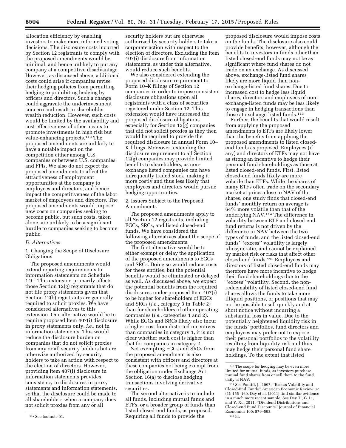allocation efficiency by enabling investors to make more informed voting decisions. The disclosure costs incurred by Section 12 registrants to comply with the proposed amendments would be minimal, and hence unlikely to put any company at a competitive disadvantage. However, as discussed above, additional costs could arise if companies revise their hedging policies from permitting hedging to prohibiting hedging by officers and directors. Such a change could aggravate the underinvestment concern and result in shareholder wealth reduction. However, such costs would be limited by the availability and cost-effectiveness of other means to promote investments in high risk but value-enhancing projects.112 The proposed amendments are unlikely to have a notable impact on the competition either among U.S. companies or between U.S. companies and FPIs. We also do not expect the proposed amendments to affect the attractiveness of employment opportunities at the company to employees and directors, and hence impact the competitiveness of the labor market of employees and directors. The proposed amendments would impose new costs on companies seeking to become public, but such costs, taken alone, are unlikely to be a significant hurdle to companies seeking to become public.

# *D. Alternatives*

# 1. Changing the Scope of Disclosure Obligations

The proposed amendments would extend reporting requirements to information statements on Schedule 14C. This extension primarily affects those Section 12(g) registrants that do not file proxy statements given that Section 12(b) registrants are generally required to solicit proxies. We have considered alternatives to this extension. One alternative would be to require proposed Item 407(i) disclosure in proxy statements only, *i.e.,* not in information statements. This would reduce the disclosure burden on companies that do not solicit proxies from any or all security holders but are otherwise authorized by security holders to take an action with respect to the election of directors. However, providing Item 407(i) disclosure in information statements provides consistency in disclosures in proxy statements and information statements, so that the disclosure could be made to all shareholders when a company does not solicit proxies from any or all

security holders but are otherwise authorized by security holders to take a corporate action with respect to the election of directors. Excluding the Item 407(i) disclosure from information statements, as under this alternative, would reduce such benefits.

We also considered extending the proposed disclosure requirement to Form 10–K filings of Section 12 companies in order to impose consistent disclosure obligations upon all registrants with a class of securities registered under Section 12. This extension would have increased the proposed disclosure obligations especially for Section 12(g) companies that did not solicit proxies as they then would be required to provide the required disclosure in annual Form 10– K filings. Moreover, extending the disclosure requirement to all Section 12(g) companies may provide limited benefits to shareholders, as nonexchange listed companies can have infrequently traded stock, making it more costly and thus less likely that employees and directors would pursue hedging opportunities.

2. Issuers Subject to the Proposed Amendments

The proposed amendments apply to all Section 12 registrants, including EGCs, SRCs, and listed closed-end funds. We have considered the following alternatives about the scope of the proposed amendments.

The first alternative would be to either exempt or delay the application of the proposed amendments to EGCs and SRCs. Doing so would reduce costs for these entities, but the potential benefits would be eliminated or delayed as well. As discussed above, we expect the potential benefits from the required disclosures under proposed Item 407(i) to be higher for shareholders of EGCs and SRCs (*i.e.,* category 3 in Table 2) than for shareholders of other operating companies (*i.e.,* categories 1 and 2). While EGCs and SRCs likely also incur a higher cost from distorted incentives than companies in category 1, it is not clear whether such cost is higher than that for companies in category 2.

Not exempting EGCs and SRCs from the proposed amendment is also consistent with officers and directors at these companies not being exempt from the obligation under Exchange Act Section 16(a) to disclose hedging transactions involving derivative securities.

The second alternative is to include all funds, including mutual funds and ETFs, or a broader group of funds than listed closed-end funds, as proposed. Requiring all funds to provide the

proposed disclosure would impose costs on the funds. The disclosure also could provide benefits, however, although the benefits to investors in funds other than listed closed-end funds may not be as significant where fund shares do not trade on an exchange. As discussed above, exchange-listed fund shares likely are more liquid than nonexchange-listed fund shares. Due to increased cost to hedge less liquid shares, directors and employees of nonexchange-listed funds may be less likely to engage in hedging transactions than those at exchange-listed funds.113

Further, the benefits that would result from applying the proposed amendments to ETFs are likely lower than the benefits from applying the proposed amendments to listed closedend funds as proposed. Employees (if any) and directors of ETFs may not have as strong an incentive to hedge their personal fund shareholdings as those at listed closed-end funds. First, listed closed-end funds likely are more volatile than ETFs. While the shares of many ETFs often trade on the secondary market at prices close to NAV of the shares, one study finds that closed-end funds' monthly return on average is 64% more volatile than that of the underlying NAV.114 The difference in volatility between ETF and closed-end fund returns is not driven by the difference in NAV between the two types of funds, and the listed closed-end funds' ''excess'' volatility is largely idiosyncratic, and cannot be explained by market risk or risks that affect other closed-end funds.115 Employees and directors of listed closed-end funds may therefore have more incentive to hedge their fund shareholdings due to the ''excess'' volatility. Second, the nonredeemability of listed closed-end fund shares allows the funds to take more illiquid positions, or positions that may not be possible to sell quickly and at short notice without incurring a substantial loss in value. Due to the potentially heightened liquidity risk in the funds' portfolios, fund directors and employees may prefer not to expose their personal portfolios to the volatility resulting from liquidity risk and thus may hedge their personal fund share holdings. To the extent that listed

<sup>112</sup>See footnote 91.

<sup>113</sup>The scope for hedging may be even more limited for mutual funds, as investors purchase mutual fund shares from or sell them to the fund daily at NAV.

<sup>114</sup> See Pontiff, J., 1997, "Excess Volatility and Closed-End Funds'' American Economic Review 87 (1): 155–169. Day et al. (2011) find similar evidence in a much more recent sample. See Day T., G. Li, and Y. Xu, 2011, ''Dividend Distributions and Closed-end Fund Discounts'' Journal of Financial Economics 100: 579–593. 115 Id.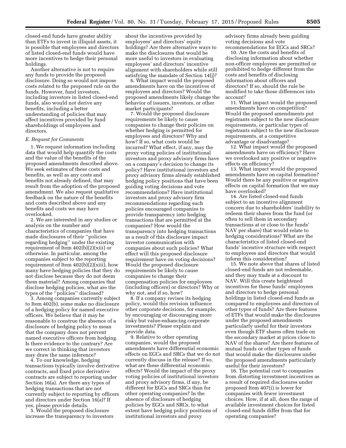closed-end funds have greater ability than ETFs to invest in illiquid assets, it is possible that employees and directors of listed closed-end funds would have more incentives to hedge their personal holdings.

Another alternative is not to require any funds to provide the proposed disclosure. Doing so would not impose costs related to the proposed rule on the funds. However, fund investors, including investors in listed closed-end funds, also would not derive any benefits, including a better understanding of policies that may affect incentives provided by fund shareholdings of employees and directors.

#### *E. Request for Comments*

1. We request information including data that would help quantify the costs and the value of the benefits of the proposed amendments described above. We seek estimates of these costs and benefits, as well as any costs and benefits not already defined, that may result from the adoption of the proposed amendment. We also request qualitative feedback on the nature of the benefits and costs described above and any benefits and costs we may have overlooked.

2. We are interested in any studies or analysis on the number and characteristics of companies that have made disclosures of their ''policies regarding hedging'' under the existing requirement of Item 402(b)(2)(xiii) or otherwise. In particular, among the companies subject to the reporting requirement of Item 402(b)(2)(xiii), how many have hedging policies that they do not disclose because they do not deem them material? Among companies that disclose hedging policies, what are the types of the ''policies'' disclosed?

3. Among companies currently subject to Item 402(b), some make no disclosure of a hedging policy for named executive officers. We believe that it may be reasonable to construe the absence of a disclosure of hedging policy to mean that the company does not prevent named executive officers from hedging. Is there evidence to the contrary? Are we correct in thinking that investors may draw the same inference?

4. To our knowledge, hedging transactions typically involve derivative contracts, and fixed price derivative contracts are subject to reporting under Section 16(a). Are there any types of hedging transactions that are not currently subject to reporting by officers and directors under Section 16(a)? If yes, please provide details.

5. Would the proposed disclosure increase the transparency to investors

about the incentives provided by employees' and directors' equity holdings? Are there alternative ways to make the disclosures that would be more useful to investors in evaluating employees' and directors' incentive alignment with shareholders while still satisfying the mandate of Section 14(j)?

6. What impact would the proposed amendments have on the incentives of employees and directors? Would the proposed amendments likely change the behavior of issuers, investors, or other market participants?

7. Would the proposed disclosure requirements be likely to cause companies to change their policies on whether hedging is permitted for employees and directors? Why and how? If so, what costs would be incurred? What effect, if any, may the proxy voting policies of institutional investors and proxy advisory firms have on a company's decision to change its policy? Have institutional investors and proxy advisory firms already established hedging policy positions that have been guiding voting decisions and vote recommendations? Have institutional investors and proxy advisory firm recommendations regarding such policies encouraged companies to provide transparency into hedging transactions that are permitted at the companies? How would the transparency into hedging transactions as a result of this disclosure impact investor communication with companies about such policies? What effect will this proposed disclosure requirement have on voting decisions? Would the proposed disclosure requirements be likely to cause companies to change their compensation policies for employees (including officers) or directors? Why or why not, and if so, how?

8. If a company revises its hedging policy, would this revision influence other corporate decisions, for example, by encouraging or discouraging more risky but value-enhancing corporate investments? Please explain and provide data.

9. Relative to other operating companies, would the proposed amendments have differential economic effects on EGCs and SRCs that we do not currently discuss in the release? If so, what are these differential economic effects? Would the impact of the proxy voting policies of institutional investors and proxy advisory firms, if any, be different for EGCs and SRCs than for other operating companies? In the absence of disclosure of hedging policies by EGCs and SRCs, to what extent have hedging policy positions of institutional investors and proxy

advisory firms already been guiding voting decisions and vote recommendations for EGCs and SRCs?

10. Are the costs and benefits of disclosing information about whether non-officer employees are permitted or prohibited to hedge different from the costs and benefits of disclosing information about officers and directors? If so, should the rule be modified to take those differences into account?

11. What impact would the proposed amendments have on competition? Would the proposed amendments put registrants subject to the new disclosure requirements, or particular types of registrants subject to the new disclosure requirements, at a competitive advantage or disadvantage?

12. What impact would the proposed amendments have on efficiency? Have we overlooked any positive or negative effects on efficiency?

13. What impact would the proposed amendments have on capital formation? Would there be any positive or negative effects on capital formation that we may have overlooked?

14. Are listed closed-end funds subject to an incentive alignment concern due to shareholders' inability to redeem their shares from the fund (or often to sell them in secondary transactions at or close to the funds' NAV per share) that would relate to hedging considerations? What are the characteristics of listed closed-end funds' incentive structure with respect to employees and directors that would inform this consideration?

15. We note above that shares of listed closed-end funds are not redeemable, and they may trade at a discount to NAV. Will this create heightened incentives for these funds' employees and directors to hedge personal holdings in listed closed-end funds as compared to employees and directors of other types of funds? Are there features of ETFs that would make the disclosures under the proposed amendments particularly useful for their investors even though ETF shares often trade on the secondary market at prices close to NAV of the shares? Are there features of mutual funds or other types of funds that would make the disclosures under the proposed amendments particularly useful for their investors?

16. The potential cost to companies from distorting investment incentives as a result of required disclosures under proposed Item 407(i) is lower for companies with fewer investment choices. How, if at all, does the range of available investment choices for listed closed-end funds differ from that for operating companies?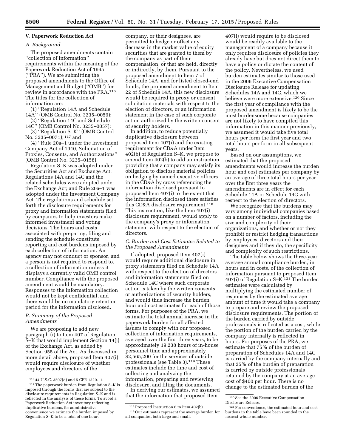# **V. Paperwork Reduction Act**

#### *A. Background*

The proposed amendments contain ''collection of information'' requirements within the meaning of the Paperwork Reduction Act of 1995 (''PRA''). We are submitting the proposed amendments to the Office of Management and Budget (''OMB'') for review in accordance with the PRA.116 The titles for the collection of information are:

(1) ''Regulation 14A and Schedule 14A'' (OMB Control No. 3235–0059);

(2) ''Regulation 14C and Schedule 14C'' (OMB Control No. 3235–0057);

(3) ''Regulation S–K'' (OMB Control No. 3235-0071); 117 and

(4) ''Rule 20a–1 under the Investment Company Act of 1940, Solicitation of Proxies, Consents, and Authorizations'' (OMB Control No. 3235–0158).

Regulation S–K was adopted under the Securities Act and Exchange Act; Regulations 14A and 14C and the related schedules were adopted under the Exchange Act; and Rule 20a–1 was adopted under the Investment Company Act. The regulations and schedule set forth the disclosure requirements for proxy and information statements filed by companies to help investors make informed investment and voting decisions. The hours and costs associated with preparing, filing and sending the schedule constitute reporting and cost burdens imposed by each collection of information. An agency may not conduct or sponsor, and a person is not required to respond to, a collection of information unless it displays a currently valid OMB control number. Compliance with the proposed amendment would be mandatory. Responses to the information collection would not be kept confidential, and there would be no mandatory retention period for the information disclosed.

#### *B. Summary of the Proposed Amendments*

We are proposing to add new paragraph (i) to Item 407 of Regulation S–K that would implement Section 14(j) of the Exchange Act, as added by Section 955 of the Act. As discussed in more detail above, proposed Item 407(i) would require disclosure of whether employees and directors of the

company, or their designees, are permitted to hedge or offset any decrease in the market value of equity securities that are granted to them by the company as part of their compensation, or that are held, directly or indirectly, by them. Pursuant to the proposed amendment to Item 7 of Schedule 14A, and for listed closed-end funds, the proposed amendment to Item 22 of Schedule 14A, this new disclosure would be required in proxy or consent solicitation materials with respect to the election of directors, or an information statement in the case of such corporate action authorized by the written consent of security holders.

In addition, to reduce potentially duplicative disclosure between proposed Item 407(i) and the existing requirement for CD&A under Item 402(b) of Regulation S–K, we propose to amend Item 402(b) to add an instruction providing that a company may satisfy its obligation to disclose material policies on hedging by named executive officers in the CD&A by cross referencing the information disclosed pursuant to proposed Item 407(i) to the extent that the information disclosed there satisfies this CD&A disclosure requirement.118 This instruction, like the Item 407(i) disclosure requirement, would apply to the company's proxy or information statement with respect to the election of directors.

# *C. Burden and Cost Estimates Related to the Proposed Amendments*

If adopted, proposed Item 407(i) would require additional disclosure in proxy statements filed on Schedule 14A with respect to the election of directors and information statements filed on Schedule 14C where such corporate action is taken by the written consents or authorizations of security holders, and would thus increase the burden hour and cost estimates for each of those forms. For purposes of the PRA, we estimate the total annual increase in the paperwork burden for all affected issuers to comply with our proposed collection of information requirements, averaged over the first three years, to be approximately 19,238 hours of in-house personnel time and approximately \$2,565,200 for the services of outside professionals (see Table 3).119 These estimates include the time and cost of collecting and analyzing the information, preparing and reviewing disclosure, and filing the documents.

In deriving our estimates, we assumed that the information that proposed Item

407(i) would require to be disclosed would be readily available to the management of a company because it only requires disclosure of policies they already have but does not direct them to have a policy or dictate the content of the policy. Nevertheless, we used burden estimates similar to those used in the 2006 Executive Compensation Disclosure Release for updating Schedules 14A and 14C, which we believe were more extensive.120 Since the first year of compliance with the proposed amendment is likely to be the most burdensome because companies are not likely to have compiled this information in this manner previously, we assumed it would take five total hours per form the first year and two total hours per form in all subsequent years.

Based on our assumptions, we estimated that the proposed amendments would increase the burden hour and cost estimates per company by an average of three total hours per year over the first three years the amendments are in effect for each Schedule 14A or Schedule 14C with respect to the election of directors.

We recognize that the burdens may vary among individual companies based on a number of factors, including the size and complexity of their organizations, and whether or not they prohibit or restrict hedging transactions by employees, directors and their designees and if they do, the specificity and complexity of such restrictions.

The table below shows the three-year average annual compliance burden, in hours and in costs, of the collection of information pursuant to proposed Item 407(i) of Regulation S–K.121 The burden estimates were calculated by multiplying the estimated number of responses by the estimated average amount of time it would take a company to prepare and review the proposed disclosure requirements. The portion of the burden carried by outside professionals is reflected as a cost, while the portion of the burden carried by the company internally is reflected in hours. For purposes of the PRA, we estimate that 75% of the burden of preparation of Schedules 14A and 14C is carried by the company internally and that 25% of the burden of preparation is carried by outside professionals retained by the company at an average cost of \$400 per hour. There is no change to the estimated burden of the

<sup>116</sup> 44 U.S.C. 3507(d) and 5 CFR 1320.11. 117The paperwork burden from Regulation S–K is imposed through the forms that are subject to the disclosure requirements in Regulation S–K and is reflected in the analysis of these forms. To avoid a Paperwork Reduction Act inventory reflecting duplicative burdens, for administrative convenience we estimate the burden imposed by Regulation S–K to be a total of one hour.

<sup>118</sup>Proposed Instruction 6 to Item 402(b). 119Our estimates represent the average burden for all companies, both large and small.

<sup>120</sup>See the 2006 Executive Compensation Disclosure Release.

<sup>121</sup>For convenience, the estimated hour and cost burdens in the table have been rounded to the nearest whole number.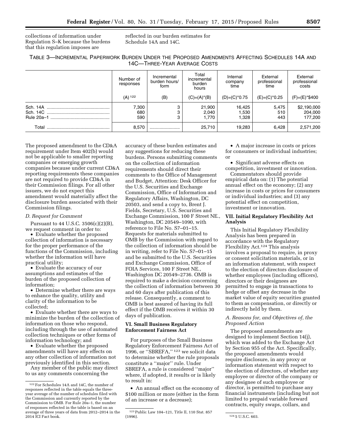collections of information under Regulation S–K because the burdens that this regulation imposes are

reflected in our burden estimates for Schedule 14A and 14C.

| TABLE 3-INCREMENTAL PAPERWORK BURDEN UNDER THE PROPOSED AMENDMENTS AFFECTING SCHEDULES 14A AND |                              |  |  |  |
|------------------------------------------------------------------------------------------------|------------------------------|--|--|--|
|                                                                                                | 14C—THREE-YEAR AVERAGE COSTS |  |  |  |

|                        | Number of<br>responses | Incremental<br>burden hours/<br>form | Total<br>incremental<br>burden<br>hours | Internal<br>company<br>time | External<br>professional<br>time | External<br>professional<br>costs |
|------------------------|------------------------|--------------------------------------|-----------------------------------------|-----------------------------|----------------------------------|-----------------------------------|
|                        | $(A)$ 122              | (B)                                  | $(C)=(A)^*(B)$                          | $(D)=(C)^*0.75$             | $(E)=(C)^*0.25$                  | (F)=(E)*\$400                     |
| Sch. 14A<br>Rule 20a-1 | 7,300<br>680<br>590    | 3<br>3<br>3                          | 21,900<br>2.040<br>1.770                | 16.425<br>1,530<br>.328     | 5,475<br>510<br>443              | \$2,190,000<br>204,000<br>177,200 |
| Total                  | 8.570                  |                                      | 25,710                                  | 19.283                      | 6.428                            | 2,571,200                         |

The proposed amendment to the CD&A requirement under Item 402(b) would not be applicable to smaller reporting companies or emerging growth companies because under current CD&A reporting requirements these companies are not required to provide CD&A in their Commission filings. For all other issuers, we do not expect this amendment would materially affect the disclosure burden associated with their Commission filings.

#### *D. Request for Comment*

Pursuant to 44 U.S.C. 3506(c)(2)(B), we request comment in order to:

• Evaluate whether the proposed collection of information is necessary for the proper performance of the functions of the Commission, including whether the information will have practical utility;

• Evaluate the accuracy of our assumptions and estimates of the burden of the proposed collection of information;

• Determine whether there are ways to enhance the quality, utility and clarity of the information to be collected;

• Evaluate whether there are ways to minimize the burden of the collection of information on those who respond, including through the use of automated collection techniques or other forms of information technology; and

• Evaluate whether the proposed amendments will have any effects on any other collection of information not previously identified in this section.

Any member of the public may direct to us any comments concerning the

accuracy of these burden estimates and any suggestions for reducing these burdens. Persons submitting comments on the collection of information requirements should direct their comments to the Office of Management and Budget, Attention: Desk Officer for the U.S. Securities and Exchange Commission, Office of Information and Regulatory Affairs, Washington, DC 20503, and send a copy to, Brent J. Fields, Secretary, U.S. Securities and Exchange Commission, 100 F Street NE., Washington, DC 20549–1090, with reference to File No. S7–01–15. Requests for materials submitted to OMB by the Commission with regard to the collection of information should be in writing, refer to File No. S7–01–15 and be submitted to the U.S. Securities and Exchange Commission, Office of FOIA Services, 100 F Street NE., Washington DC 20549–2736. OMB is required to make a decision concerning the collection of information between 30 and 60 days after publication of this release. Consequently, a comment to OMB is best assured of having its full effect if the OMB receives it within 30 days of publication.

# **VI. Small Business Regulatory Enforcement Fairness Act**

For purposes of the Small Business Regulatory Enforcement Fairness Act of 1996, or ''SBREFA,'' 123 we solicit data to determine whether the rule proposals constitute a ''major'' rule. Under SBREFA, a rule is considered ''major'' where, if adopted, it results or is likely to result in:

• An annual effect on the economy of \$100 million or more (either in the form of an increase or a decrease);

• A major increase in costs or prices for consumers or individual industries; or

• Significant adverse effects on competition, investment or innovation.

Commentators should provide empirical data on: (1) The potential annual effect on the economy; (2) any increase in costs or prices for consumers or individual industries; and (3) any potential effect on competition, investment or innovation.

# **VII. Initial Regulatory Flexibility Act Analysis**

This Initial Regulatory Flexibility Analysis has been prepared in accordance with the Regulatory Flexibility Act.124 This analysis involves a proposal to require, in proxy or consent solicitation materials, or in an information statement, with respect to the election of directors disclosure of whether employees (including officers), directors or their designees are permitted to engage in transactions to hedge or offset any decrease in the market value of equity securities granted to them as compensation, or directly or indirectly held by them.

# *A. Reasons for, and Objectives of, the Proposed Action*

The proposed amendments are designed to implement Section 14(j), which was added to the Exchange Act by Section 955 of the Act. Specifically, the proposed amendments would require disclosure, in any proxy or information statement with respect to the election of directors, of whether any employee or director of the company or any designee of such employee or director, is permitted to purchase any financial instruments (including but not limited to prepaid variable forward contracts, equity swaps, collars, and

<sup>122</sup>For Schedules 14A and 14C, the number of responses reflected in the table equals the threeyear average of the number of schedules filed with the Commission and currently reported by the Commission to OMB. For Rule 20a–1, the number of responses reflected in the table is based on an average of three years of data from 2012–2014 in the 2014 ICI Fact book.

<sup>&</sup>lt;sup>123</sup> Public Law 104–121, Title II, 110 Stat. 857<br>(1996).

<sup>124 5</sup> U.S.C. 603.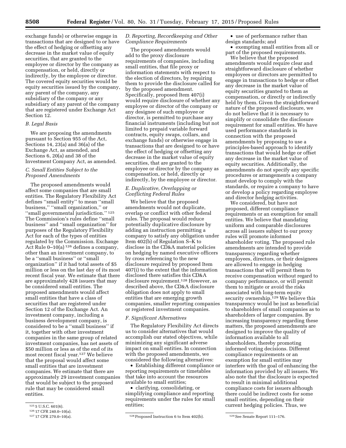exchange funds) or otherwise engage in transactions that are designed to or have the effect of hedging or offsetting any decrease in the market value of equity securities, that are granted to the employee or director by the company as compensation, or held, directly or indirectly, by the employee or director. The covered equity securities would be equity securities issued by the company, any parent of the company, any subsidiary of the company or any subsidiary of any parent of the company that are registered under Exchange Act Section 12.

# *B. Legal Basis*

We are proposing the amendments pursuant to Section 955 of the Act, Sections 14, 23(a) and 36(a) of the Exchange Act, as amended, and Sections 6, 20(a) and 38 of the Investment Company Act, as amended.

# *C. Small Entities Subject to the Proposed Amendments*

The proposed amendments would affect some companies that are small entities. The Regulatory Flexibility Act defines ''small entity'' to mean ''small business,'' ''small organization,'' or ''small governmental jurisdiction.'' 125 The Commission's rules define ''small business'' and ''small organization'' for purposes of the Regulatory Flexibility Act for each of the types of entities regulated by the Commission. Exchange Act Rule 0–10(a) 126 defines a company, other than an investment company, to be a ''small business'' or ''small organization'' if it had total assets of \$5 million or less on the last day of its most recent fiscal year. We estimate that there are approximately 428 issuers that may be considered small entities. The proposed amendments would affect small entities that have a class of securities that are registered under Section 12 of the Exchange Act. An investment company, including a business development company, is considered to be a ''small business'' if it, together with other investment companies in the same group of related investment companies, has net assets of \$50 million or less as of the end of its most recent fiscal year.127 We believe that the proposal would affect some small entities that are investment companies. We estimate that there are approximately 29 investment companies that would be subject to the proposed rule that may be considered small entities.

#### *D. Reporting, Recordkeeping and Other Compliance Requirements*

The proposed amendments would add to the proxy disclosure requirements of companies, including small entities, that file proxy or information statements with respect to the election of directors, by requiring them to provide the disclosure called for by the proposed amendment. Specifically, proposed Item 407(i) would require disclosure of whether any employee or director of the company or any designee of such employee or director, is permitted to purchase any financial instruments (including but not limited to prepaid variable forward contracts, equity swaps, collars, and exchange funds) or otherwise engage in transactions that are designed to or have the effect of hedging or offsetting any decrease in the market value of equity securities, that are granted to the employee or director by the company as compensation, or held, directly or indirectly, by the employee or director.

# *E. Duplicative, Overlapping or Conflicting Federal Rules*

We believe that the proposed amendments would not duplicate, overlap or conflict with other federal rules. The proposal would reduce potentially duplicative disclosure by adding an instruction permitting a company to satisfy any obligation under Item 402(b) of Regulation S–K to disclose in the CD&A material policies on hedging by named executive officers by cross referencing to the new disclosure required by proposed Item 407(i) to the extent that the information disclosed there satisfies this CD&A disclosure requirement.128 However, as described above, the CD&A disclosure obligation does not apply to small entities that are emerging growth companies, smaller reporting companies or registered investment companies.

#### *F. Significant Alternatives*

The Regulatory Flexibility Act directs us to consider alternatives that would accomplish our stated objectives, while minimizing any significant adverse impact on small entities. In connection with the proposed amendments, we considered the following alternatives:

• Establishing different compliance or reporting requirements or timetables that take into account the resources available to small entities;

• clarifying, consolidating, or simplifying compliance and reporting requirements under the rules for small entities;

• use of performance rather than design standards; and

• exempting small entities from all or part of the proposed requirements.

We believe that the proposed amendments would require clear and straightforward disclosure of whether employees or directors are permitted to engage in transactions to hedge or offset any decrease in the market value of equity securities granted to them as compensation, or directly or indirectly held by them. Given the straightforward nature of the proposed disclosure, we do not believe that it is necessary to simplify or consolidate the disclosure requirement for small entities. We have used performance standards in connection with the proposed amendments by proposing to use a principles-based approach to identify transactions that would hedge or offset any decrease in the market value of equity securities. Additionally, the amendments do not specify any specific procedures or arrangements a company must develop to comply with the standards, or require a company to have or develop a policy regarding employee and director hedging activities.

We considered, but have not proposed, different compliance requirements or an exemption for small entities. We believe that mandating uniform and comparable disclosures across all issuers subject to our proxy rules will promote informed shareholder voting. The proposed rule amendments are intended to provide transparency regarding whether employees, directors, or their designees are allowed to engage in hedging transactions that will permit them to receive compensation without regard to company performance, or will permit them to mitigate or avoid the risks associated with long-term equity security ownership.<sup>129</sup> We believe this transparency would be just as beneficial to shareholders of small companies as to shareholders of larger companies. By increasing transparency regarding these matters, the proposed amendments are designed to improve the quality of information available to all shareholders, thereby promoting informed voting decisions. Different compliance requirements or an exemption for small entities may interfere with the goal of enhancing the information provided by all issuers. We also note that the disclosure is expected to result in minimal additional compliance costs for issuers although there could be indirect costs for some small entities, depending on their current hedging policies. Thus, we

<sup>125</sup> 5 U.S.C. 601(6).

<sup>126 17</sup> CFR 240.0-10(a).<br>127 17 CFR 270.0-10(a).

<sup>&</sup>lt;sup>128</sup> Proposed Instruction 6 to Item 402(b). <sup>129</sup> See Senate Report 111–176.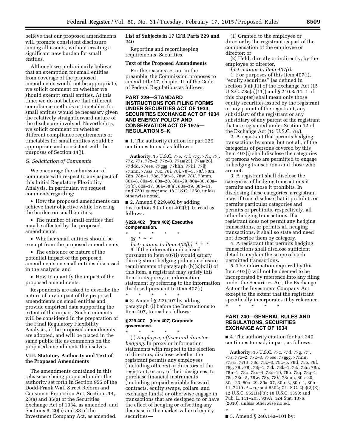believe that our proposed amendments will promote consistent disclosure among all issuers, without creating a significant new burden for small entities.

Although we preliminarily believe that an exemption for small entities from coverage of the proposed amendments would not be appropriate, we solicit comment on whether we should exempt small entities. At this time, we do not believe that different compliance methods or timetables for small entities would be necessary given the relatively straightforward nature of the disclosure involved. Nevertheless, we solicit comment on whether different compliance requirements or timetables for small entities would be appropriate and consistent with the purposes of Section 14(j).

#### *G. Solicitation of Comments*

We encourage the submission of comments with respect to any aspect of this Initial Regulatory Flexibility Analysis. In particular, we request comments regarding:

• How the proposed amendments can achieve their objective while lowering the burden on small entities;

• The number of small entities that may be affected by the proposed amendments;

• Whether small entities should be exempt from the proposed amendments;

• The existence or nature of the potential impact of the proposed amendments on small entities discussed in the analysis; and

• How to quantify the impact of the proposed amendments.

Respondents are asked to describe the nature of any impact of the proposed amendments on small entities and provide empirical data supporting the extent of the impact. Such comments will be considered in the preparation of the Final Regulatory Flexibility Analysis, if the proposed amendments are adopted, and will be placed in the same public file as comments on the proposed amendments themselves.

# **VIII. Statutory Authority and Text of the Proposed Amendments**

The amendments contained in this release are being proposed under the authority set forth in Section 955 of the Dodd-Frank Wall Street Reform and Consumer Protection Act, Sections 14, 23(a) and 36(a) of the Securities Exchange Act of 1934, as amended, and Sections 6, 20(a) and 38 of the Investment Company Act, as amended.

# **List of Subjects in 17 CFR Parts 229 and 240**

Reporting and recordkeeping requirements, Securities.

#### **Text of the Proposed Amendments**

For the reasons set out in the preamble, the Commission proposes to amend title 17, chapter II, of the Code of Federal Regulations as follows:

# **PART 229—STANDARD INSTRUCTIONS FOR FILING FORMS UNDER SECURITIES ACT OF 1933, SECURITIES EXCHANGE ACT OF 1934 AND ENERGY POLICY AND CONSERVATION ACT OF 1975— REGULATION S–K**

■ 1. The authority citation for part 229 continues to read as follows:

**Authority:** 15 U.S.C. 77e, 77f, 77g, 77h, 77j, 77k, 77s, 77z–2, 77z–3, 77aa(25), 77aa(26), 77ddd, 77eee, 77ggg, 77hhh, 77iii, 77jjj, 77nnn, 77sss, 78c, 78i, 78j, 78j–3, 78*l,* 78m, 78n, 78n–1, 78o, 78u–5, 78w, 78*ll,* 78mm, 80a–8, 80a–9, 80a–20, 80a–29, 80a–30, 80a– 31(c), 80a–37, 80a–38(a), 80a–39, 80b–11, and 7201 *et seq;* and 18 U.S.C. 1350, unless otherwise noted.

■ 2. Amend § 229.402 by adding Instruction 6 to Item 402(b), to read as follows:

# **§ 229.402 (Item 402) Executive compensation.**

# \* \* \* \* \*

(b) \* \* \*

*Instructions to Item 402(b).* \* \* \* 6. If the information disclosed pursuant to Item 407(i) would satisfy the registrant hedging policy disclosure requirements of paragraph (b)(2)(xiii) of this Item, a registrant may satisfy this Item in its proxy or information statement by referring to the information disclosed pursuant to Item 407(i).

\* \* \* \* \*  $\blacksquare$  3. Amend § 229.407 by adding paragraph (i) before the Instructions to Item 407, to read as follows:

#### **§ 229.407 (Item 407) Corporate governance.**

\* \* \* \* \* (i) *Employee, officer and director hedging.* In proxy or information statements with respect to the election of directors, disclose whether the registrant permits any employees (including officers) or directors of the registrant, or any of their designees, to purchase financial instruments (including prepaid variable forward contracts, equity swaps, collars, and exchange funds) or otherwise engage in transactions that are designed to or have the effect of hedging or offsetting any decrease in the market value of equity securities—

(1) Granted to the employee or director by the registrant as part of the compensation of the employee or director; or

(2) Held, directly or indirectly, by the employee or director.

*Instructions to Item 407(i).* 

1. For purposes of this Item 407(i), ''equity securities'' (as defined in section 3(a)(11) of the Exchange Act (15 U.S.C. 78c(a)(11)) and § 240.3a11–1 of this chapter) shall mean only those equity securities issued by the registrant or any parent of the registrant, any subsidiary of the registrant or any subsidiary of any parent of the registrant that are registered under Section 12 of the Exchange Act (15 U.S.C. 78*l*).

2. A registrant that permits hedging transactions by some, but not all, of the categories of persons covered by this Item 407(i) shall disclose the categories of persons who are permitted to engage in hedging transactions and those who are not.

3. A registrant shall disclose the categories of hedging transactions it permits and those it prohibits. In disclosing these categories, a registrant may, if true, disclose that it prohibits or permits particular categories and permits or prohibits, respectively, all other hedging transactions. If a registrant does not permit any hedging transactions, or permits all hedging transactions, it shall so state and need not describe them by category.

4. A registrant that permits hedging transactions shall disclose sufficient detail to explain the scope of such permitted transactions.

5. The information required by this Item 407(i) will not be deemed to be incorporated by reference into any filing under the Securities Act, the Exchange Act or the Investment Company Act, except to the extent that the registrant specifically incorporates it by reference.

\* \* \* \* \*

# **PART 240—GENERAL RULES AND REGULATIONS, SECURITIES EXCHANGE ACT OF 1934**

■ 4. The authority citation for Part 240 continues to read, in part, as follows:

**Authority:** 15 U.S.C. 77c, 77d, 77g, 77j, 77s, 77z–2, 77z–3, 77eee, 77ggg, 77nnn, 77sss, 77ttt, 78c, 78c–3, 78c–5, 78d, 78e, 78f, 78g, 78i, 78j, 78j–1, 78k, 78k–1, 78*l,* 78m 78n, 78n–1, 78o, 78o–4, 78o–10, 78p, 78q, 78q–1, 78s, 78u–5, 78w, 78x, 78*ll,* 78mm, 80a–20, 80a–23, 80a–29, 80a–37, 80b–3, 80b–4, 80b– 11, 7210 *et seq.;* and 8302; 7 U.S.C. 2(c)(2)(E); 12 U.S.C. 5521(e)(3); 18 U.S.C. 1350; and Pub. L. 111–203, 939A, 124 Stat. 1376, (2010), unless otherwise noted.

\* \* \* \* \*

■ 5. Amend § 240.14a–101 by: